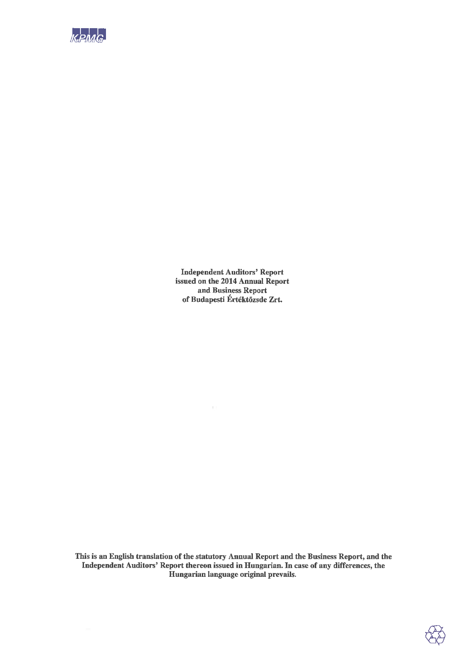

**Independent Auditors' Report** issued on the 2014 Annual Report and Business Report of Budapesti Értéktőzsde Zrt.

This is an English translation of the statutory Annual Report and the Business Report, and the Independent Auditors' Report thereon issued in Hungarian. In case of any differences, the Hungarian language original prevails.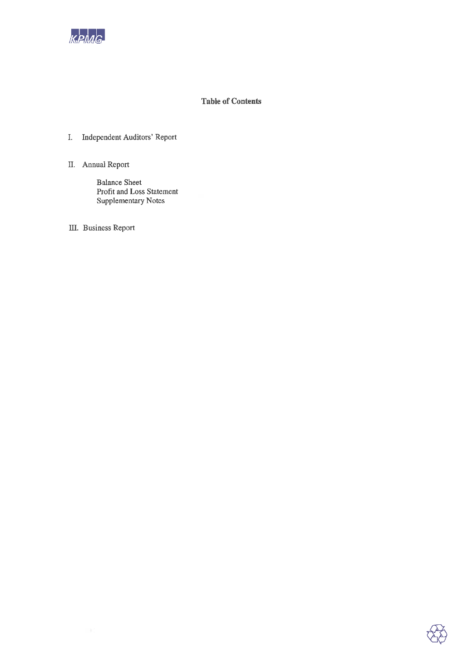

### **Table of Contents**

### I. Independent Auditors' Report

II. Annual Report

**Balance Sheet** Profit and Loss Statement **Supplementary Notes** 

III. Business Report

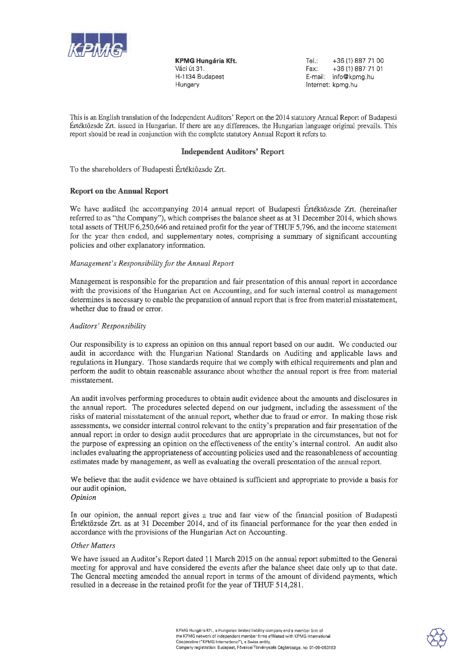

**KPMG Hungária Kft.** Váci út 31. H-1134 Budapest Hungary

Tel.: +36 (1) 887 71 00 Fax: +36 (1) 887 71 01 E-mail: info@kpmg.hu Internet: kpmg.hu

This is an English translation of the Independent Auditors' Report on the 2014 statutory Annual Report of Budapesti Értéktőzsde Zrt. issued in Hungarian. If there are any differences, the Hungarian language original prevails. This report should be read in conjunction with the complete statutory Annual Report it refers to.

### **Independent Auditors' Report**

To the shareholders of Budapesti Értéktözsde Zrt.

### **Report on the Annual Report**

We have audited the accompanying 2014 annual report of Budapesti Értéktőzsde Zrt. (hereinafter referred to as "the Company"), which comprises the balance sheet as at 31 December 2014, which shows total assets of THUF 6,250,646 and retained profit for the year of THUF 5,796, and the income statement for the year then ended, and supplementary notes, comprising a summary of significant accounting policies and other explanatory information.

### Management's Responsibility for the Annual Report

Management is responsible for the preparation and fair presentation of this annual report in accordance with the provisions of the Hungarian Act on Accounting, and for such internal control as management determines is necessary to enable the preparation of annual report that is free from material misstatement, whether due to fraud or error.

### Auditors' Responsibility

Our responsibility is to express an opinion on this annual report based on our audit. We conducted our audit in accordance with the Hungarian National Standards on Auditing and applicable laws and regulations in Hungary. Those standards require that we comply with ethical requirements and plan and perform the audit to obtain reasonable assurance about whether the annual report is free from material misstatement.

An audit involves performing procedures to obtain audit evidence about the amounts and disclosures in the annual report. The procedures selected depend on our judgment, including the assessment of the risks of material misstatement of the annual report, whether due to fraud or error. In making those risk assessments, we consider internal control relevant to the entity's preparation and fair presentation of the annual report in order to design audit procedures that are appropriate in the circumstances, but not for the purpose of expressing an opinion on the effectiveness of the entity's internal control. An audit also includes evaluating the appropriateness of accounting policies used and the reasonableness of accounting estimates made by management, as well as evaluating the overall presentation of the annual report.

We believe that the audit evidence we have obtained is sufficient and appropriate to provide a basis for our audit opinion.

### Opinion

In our opinion, the annual report gives a true and fair view of the financial position of Budapesti Ertéktőzsde Zrt. as at 31 December 2014, and of its financial performance for the year then ended in accordance with the provisions of the Hungarian Act on Accounting.

### **Other Matters**

We have issued an Auditor's Report dated 11 March 2015 on the annual report submitted to the General meeting for approval and have considered the events after the balance sheet date only up to that date. The General meeting amended the annual report in terms of the amount of dividend payments, which resulted in a decrease in the retained profit for the year of THUF 514,281.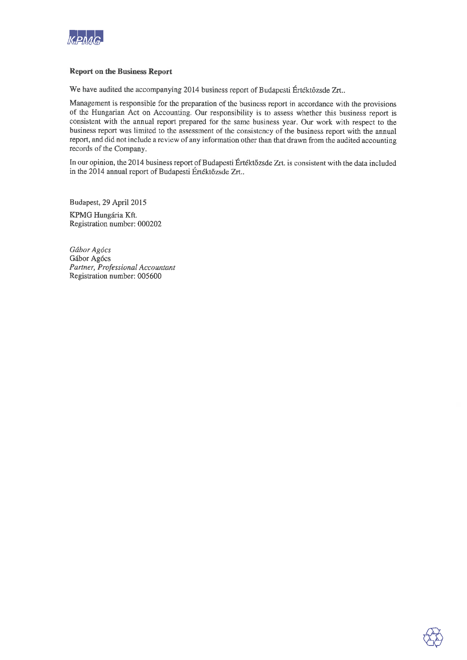

### **Report on the Business Report**

We have audited the accompanying 2014 business report of Budapesti Értéktőzsde Zrt..

Management is responsible for the preparation of the business report in accordance with the provisions of the Hungarian Act on Accounting. Our responsibility is to assess whether this business report is consistent with the annual report prepared for the same business year. Our work with respect to the business report was limited to the assessment of the consistency of the business report with the annual report, and did not include a review of any information other than that drawn from the audited accounting records of the Company.

In our opinion, the 2014 business report of Budapesti Értéktőzsde Zrt. is consistent with the data included in the 2014 annual report of Budapesti Értéktőzsde Zrt..

Budapest, 29 April 2015 KPMG Hungária Kft. Registration number: 000202

Gábor Agócs Gábor Agócs Partner, Professional Accountant Registration number: 005600

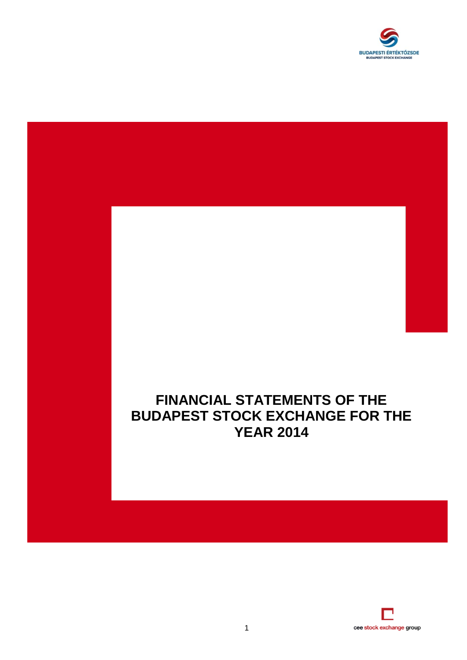

## **FINANCIAL STATEMENTS OF THE BUDAPEST STOCK EXCHANGE FOR THE YEAR 2014**

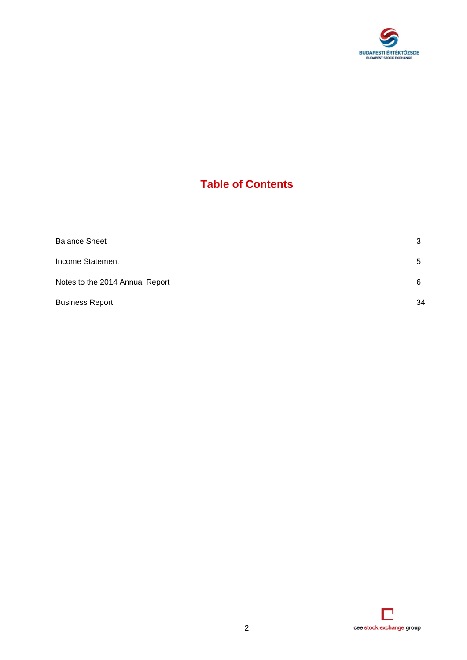

## **Table of Contents**

| <b>Balance Sheet</b>            | 3  |
|---------------------------------|----|
| Income Statement                | 5  |
| Notes to the 2014 Annual Report | 6  |
| <b>Business Report</b>          | 34 |

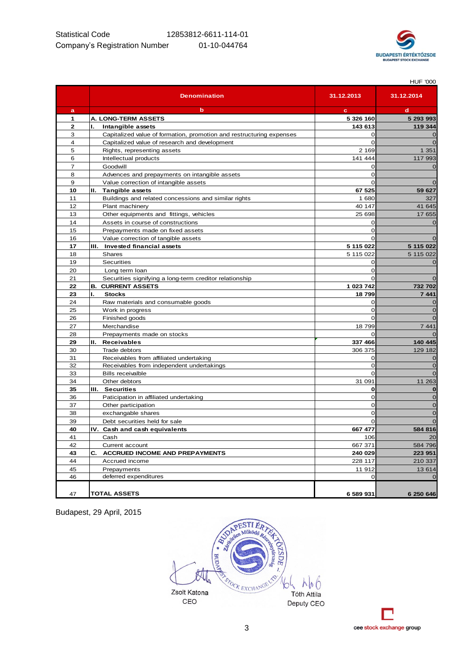

|                         |                                                                      |                | <b>HUF '000</b> |
|-------------------------|----------------------------------------------------------------------|----------------|-----------------|
|                         | <b>Denomination</b>                                                  | 31.12.2013     | 31.12.2014      |
| a                       | b                                                                    | c              | d               |
| 1                       | A. LONG-TERM ASSETS                                                  | 5 326 160      | 5 293 993       |
| $\overline{\mathbf{2}}$ | ı.<br>Intangible assets                                              | 143 613        | 119 344         |
| 3                       | Capitalized value of formation, promotion and restructuring expenses | $\Omega$       | $\overline{0}$  |
| 4                       | Capitalized value of research and development                        | $\Omega$       | $\overline{0}$  |
| 5                       | Rights, representing assets                                          | 2 1 6 9        | 1 3 5 1         |
| 6                       | Intellectual products                                                | 141 444        | 117 993         |
| $\overline{7}$          | Goodwill                                                             | $\mathbf 0$    | $\mathbf 0$     |
| 8                       | Advences and prepayments on intangible assets                        | $\overline{0}$ |                 |
| 9                       | Value correction of intangible assets                                | $\Omega$       | $\mathbf 0$     |
| 10                      | II. Tangible assets                                                  | 67 525         | 59 627          |
| 11                      | Buildings and related concessions and similar rights                 | 1680           | 327             |
| 12                      | Plant machinery                                                      | 40 147         | 41 645          |
| 13                      | Other equipments and fittings, vehicles                              | 25 698         | 17 655          |
| 14                      | Assets in course of constructions                                    | 0              | $\mathbf 0$     |
| 15                      | Prepayments made on fixed assets                                     | $\Omega$       |                 |
| 16                      | Value correction of tangible assets                                  | $\Omega$       | $\overline{O}$  |
| 17                      | III. Invested financial assets                                       | 5 115 022      | 5 115 022       |
| 18                      | Shares                                                               | 5 115 022      | 5 115 022       |
| 19                      | Securities                                                           | O              | $\mathbf 0$     |
| 20                      | Long term loan                                                       | $\Omega$       |                 |
| 21                      | Securities signifying a long-term creditor relationship              | 0              | $\overline{O}$  |
| 22                      | <b>B. CURRENT ASSETS</b>                                             | 1 023 742      | 732 702         |
| 23                      | ı.<br><b>Stocks</b>                                                  | 18799          | 7441            |
| 24                      | Raw materials and consumable goods                                   | 0              | $\mathbf 0$     |
| 25                      | Work in progress                                                     | $\Omega$       | $\mathbf 0$     |
| 26                      | Finished goods                                                       | $\Omega$       | $\overline{O}$  |
| 27                      | Merchandise                                                          | 18799          | 7 4 4 1         |
| 28                      | Prepayments made on stocks                                           | $\Omega$       | $\Omega$        |
| 29                      | II. Receivables                                                      | 337 466        | 140 445         |
| 30                      | Trade debtors                                                        | 306 375        | 129 182         |
| 31                      | Receivables from affiliated undertaking                              | 0              | $\mathbf 0$     |
| 32                      | Receivables from independent undertakings                            | $\Omega$       | $\overline{0}$  |
| 33                      | <b>Bills receivalble</b>                                             | 0              | $\overline{O}$  |
| 34                      | Other debtors                                                        | 31 091         | 11 263          |
| 35                      | III. Securities                                                      | $\mathbf 0$    | $\bf{0}$        |
| 36                      | Paticipation in affiliated undertaking                               | $\Omega$       | $\overline{0}$  |
| 37                      | Other participation                                                  | $\overline{0}$ | $\overline{0}$  |
| 38                      | exchangable shares                                                   | 0              | $\mathbf 0$     |
| 39                      | Debt securities held for sale                                        | $\mathbf 0$    | $\overline{O}$  |
| 40                      | IV. Cash and cash equivalents                                        | 667 477        | 584 816         |
| 41                      | Cash                                                                 | 106            | 20              |
| 42                      | Current account                                                      | 667 371        | 584 796         |
| 43                      | <b>ACCRUED INCOME AND PREPAYMENTS</b><br>C.                          | 240 029        | 223 951         |
| 44                      | Accrued income                                                       | 228 117        | 210 337         |
| 45                      | Prepayments                                                          | 11 912         | 13 614          |
| 46                      | deferred expenditures                                                | 0              | $\mathbf 0$     |
|                         |                                                                      |                |                 |
| 47                      | <b>TOTAL ASSETS</b>                                                  | 6 589 931      | 6 250 646       |
|                         |                                                                      |                |                 |



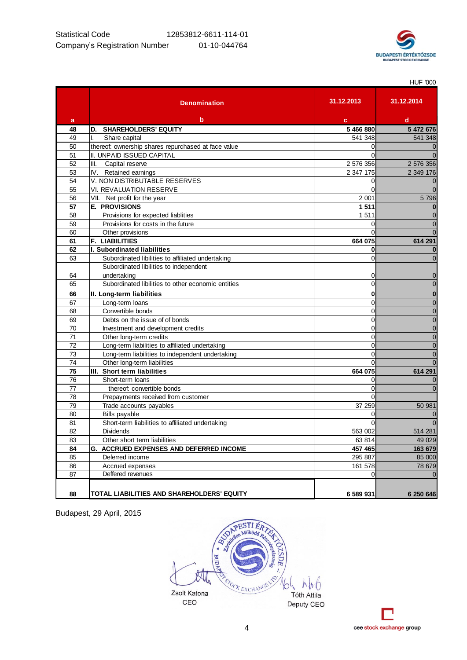

HUF '000

**Denomination a b c d 48 D. SHAREHOLDERS' EQUITY 5 466 880 5 472 676** 49 | I. Share capital 541 348 **541 348** 541 348 541 348 541 348 541 348 541 348 541 348 541 348 541 348 541 348 541 348 541 348 541 348 541 348 541 348 **541 348** 541 348 **541 348** 541 348 **541 348** 541 352 541 352 554 554 50 thereof: ownership shares repurchased at face value 0 0 51 II. UNPAID ISSUED CAPITAL 0 0 52 | III. Capital reserve 2 576 356 | 2 576 356 | 2 576 356 | 2 576 356 | 2 576 356 | 2 577 | 2 577 | 2 577 | 2 577 | 2 577 | 2 577 | 2 577 | 2 577 | 2 577 | 2 577 | 2 577 | 2 577 | 2 577 | 2 577 | 2 577 | 2 577 | 2 577 | 53 IV. Retained earnings 2 347 175 2 349 176 54 V. NON DISTRIBUTABLE RESERVES 0 0 55 VI. REVALUATION RESERVE 0 0 56 VII. Net profit for the year 2 001 5 796 **57 E. PROVISIONS 1 511 0** 58 Provisions for expected liablities 1 511 1 511 0 1 511 1 511 1 511 1 511 1 512 1 512 1 512 1 512 1 512 1 51 59 Provisions for costs in the future 0 0 60 Cher provisions Chercamente Control of the Control of Control of Control of Control of Control of Control of Control of Control of Control of Control of Control of Control of Control of Control of Control of Control of **61 F. LIABILITIES 664 075 614 291 62 I. Subordinated liabilities 0 0** 63 Subordinated libilities to affiliated undertaking 0 0 64 Subordinated libilities to independent undertaking 0 0 65 Subordinated libilities to other economic entities 0 0 **66 II. Long-term liabilities 0 0** 67 Long-term loans 0 0 68 Convertible bonds Convertible bonds CONVERTIBLE CONVERTIBLE OF CONVERTIBLE OF CONVERTIBLE OF CONVERTIBLE OF CONVERTIBLE OF CONVERTIBLE OF CONVERTIBLE OF CONVERTIBLE OF CONVERTIBLE OF CONVERTIBLE OF CONVERTIBLE OF CONVER 69 Debts on the issue of of bonds 0 0 70 Investment and development credits 0 0 71 Other long-term credits 0 0 The contract of the contract of the contract of the contract of the contract of the contract of the contract of the contract of the contract of the contract of the contract of the contract of the contract of the contract o 73 Long-term liabilities to independent undertaking 0 0 74 Other long-term liabilities 0 0 **75 III. Short term liabilities 664 075 614 291** The short-term loans to the state of the state of the state of the state of the state of the state of the state of the state of the state of the state of the state of the state of the state of the state of the state of the 77 thereof: convertible bonds 0 0 78 Prepayments received from customer 0 Trade accounts payables 37 259 50 981 80 Bills payable control of the control of the control of the control of the control of the control of the control of the control of the control of the control of the control of the control of the control of the control of 81 Short-term liabilities to affiliated undertaking 0 0 82 Dividends 563 002 514 281 83 Cther short term liabilities 63 814 49 029 **84 G. ACCRUED EXPENSES AND DEFERRED INCOME 457 465 163 679** 85 Deferred income 295 887 85 000 86 Accrued expenses 28 and 28 679 and 378 679 and 378 679 and 378 679 and 378 679 and 378 679 and 378 679 and 378 679 and 378 679 and 378 679 and 378 679 and 378 679 and 378 679 and 378 679 and 378 679 and 378 679 and 378 87 Deffered revenues and the control of the control of the control of the control of the control of the control of the control of the control of the control of the control of the control of the control of the control of th **88 TOTAL LIABILITIES AND SHAREHOLDERS' EQUITY 6 589 931 6 250 646 31.12.2013 31.12.2014**



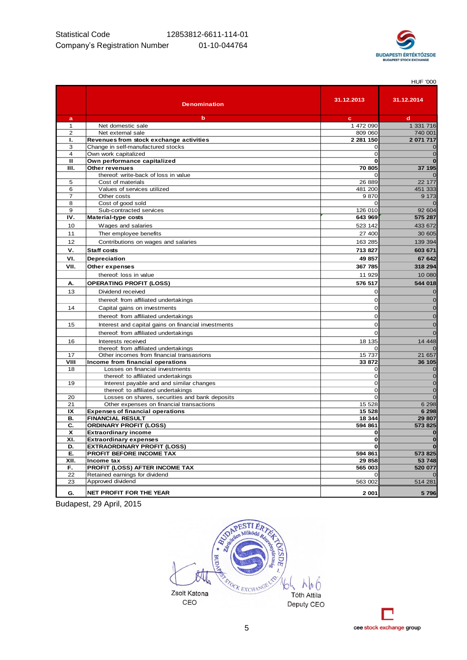

|                |                                                                     |             | <b>HUF '000</b>      |
|----------------|---------------------------------------------------------------------|-------------|----------------------|
|                | <b>Denomination</b>                                                 | 31.12.2013  | 31.12.2014           |
| a              | b                                                                   | c           | d                    |
| $\mathbf{1}$   | Net domestic sale                                                   | 1 472 090   | 1 331 716            |
| 2              | Net external sale                                                   | 809 060     | 740 001              |
| Ъ.             | Revenues from stock exchange activities                             | 2 281 150   | 2 071 717            |
| 3              | Change in self-manufactured stocks                                  | $\Omega$    | $\mathbf 0$          |
| $\overline{4}$ | Own work capitalized                                                | $\Omega$    | $\mathbf 0$          |
| $\mathbf{u}$   | Own performance capitalized                                         | 0           | $\bf{0}$             |
| ш.             | Other revenues                                                      | 70 805      | 37 195               |
|                | thereof: write-back of loss in value                                | $\Omega$    | $\Omega$             |
| 5              | Cost of materials                                                   | 26 889      | 22 177               |
| 6              | Values of services utilized                                         | 481 200     | 451 333              |
| $\overline{7}$ | Other costs                                                         | 9870        | 9 1 7 3              |
| 8              | Cost of good sold                                                   | $\Omega$    | $\mathbf 0$          |
| 9              | Sub-contracted services                                             | 126 010     | 92 604               |
| IV.            | Material-type costs                                                 | 643 969     | 575 287              |
| 10             | Wages and salaries                                                  | 523 142     | 433 672              |
| 11             | Ther employee benefits                                              | 27 400      | 30 605               |
| 12             | Contributions on wages and salaries                                 | 163 285     | 139 394              |
| v.             | <b>Staff costs</b>                                                  | 713827      | 603 671              |
| VI.            | Depreciation                                                        | 49 857      | 67 642               |
| VII.           | Other expenses                                                      | 367 785     | 318 294              |
|                | thereof: loss in value                                              | 11 929      | 10 080               |
|                | <b>OPERATING PROFIT (LOSS)</b>                                      | 576 517     | 544 018              |
| А.             |                                                                     |             |                      |
| 13             | Dividend received                                                   | 0           | $\mathbf 0$          |
|                | thereof: from affiliated undertakings                               | $\mathbf 0$ | $\mathbf 0$          |
| 14             | Capital gains on investments                                        | 0           | $\mathbf 0$          |
|                | thereof: from affiliated undertakings                               | $\mathbf 0$ | $\mathbf 0$          |
| 15             | Interest and capital gains on financial investments                 | $\mathbf 0$ | $\mathbf 0$          |
|                | thereof: from affiliated undertakings                               | $\Omega$    | $\mathbf 0$          |
| 16             | Interests received                                                  | 18 135      | 14 4 48              |
|                | thereof: from affiliated undertakings                               | 0           | $\mathbf 0$          |
| 17             | Other incomes from financial transasrions                           | 15 737      | 21 657               |
| VIII           | Income from financial operations                                    | 33 872      | 36 105               |
| 18             | Losses on financial investments                                     | 0           | $\mathbf 0$          |
|                | thereof: to affiliated undertakings                                 | $\mathbf 0$ | $\mathbf 0$          |
| 19             | Interest payable and and similar changes                            | $\mathbf 0$ | $\mathbf 0$          |
|                | thereof: to affiliated undertakings                                 | $\mathbf 0$ | $\mathbf 0$          |
| 20             | Losses on shares, securities and bank deposits                      | $\Omega$    | $\mathbf 0$          |
| 21             | Other expenses on financial transactions                            | 15 5 28     | 6 2 9 8              |
| IX             | <b>Expenses of financial operations</b>                             | 15 5 28     | 6 2 9 8              |
| В.             | <b>FINANCIAL RESULT</b>                                             | 18 344      | 29 807               |
| C.             | <b>ORDINARY PROFIT (LOSS)</b>                                       | 594 861     | 573 825              |
| X              | <b>Extraordinary income</b>                                         | 0<br>0      | $\pmb{0}$            |
| XI.<br>D.      | <b>Extraordinary expenses</b><br><b>EXTRAORDINARY PROFIT (LOSS)</b> |             | $\bf{0}$<br>$\bf{0}$ |
| E.             | PROFIT BEFORE INCOME TAX                                            | 594 861     | 573 825              |
| XII.           | Income tax                                                          | 29 858      | 53 748               |
| F.             | PROFIT (LOSS) AFTER INCOME TAX                                      | 565 003     | 520 077              |
| 22             | Retained earnings for dividend                                      | 0           | $\mathbf 0$          |
| 23             | Approved dividend                                                   | 563 002     | 514 281              |
|                |                                                                     |             |                      |
| G.             | NET PROFIT FOR THE YEAR                                             | 2 001       | 5796                 |



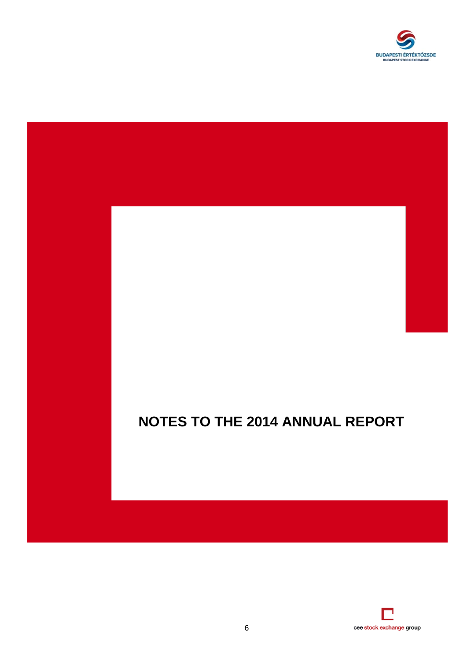

# **NOTES TO THE 2014 ANNUAL REPORT**

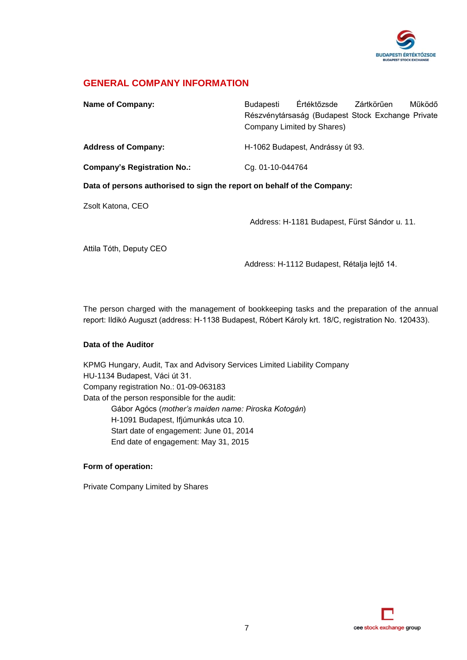

### **GENERAL COMPANY INFORMATION**

| <b>Name of Company:</b>                                                 | <b>Budapesti</b> | Értéktőzsde                                       | Zártkörűen | Működő |
|-------------------------------------------------------------------------|------------------|---------------------------------------------------|------------|--------|
|                                                                         |                  | Részvénytársaság (Budapest Stock Exchange Private |            |        |
|                                                                         |                  | Company Limited by Shares)                        |            |        |
| <b>Address of Company:</b>                                              |                  | H-1062 Budapest, Andrássy út 93.                  |            |        |
| <b>Company's Registration No.:</b>                                      | Cg. 01-10-044764 |                                                   |            |        |
| Data of persons authorised to sign the report on behalf of the Company: |                  |                                                   |            |        |
| Zsolt Katona, CEO                                                       |                  |                                                   |            |        |
|                                                                         |                  | Address: H-1181 Budapest, Fürst Sándor u. 11.     |            |        |
| Attila Tóth, Deputy CEO                                                 |                  |                                                   |            |        |
|                                                                         |                  | Address: H-1112 Budapest, Rétalja lejtő 14.       |            |        |

The person charged with the management of bookkeeping tasks and the preparation of the annual report: Ildikó Auguszt (address: H-1138 Budapest, Róbert Károly krt. 18/C, registration No. 120433).

### **Data of the Auditor**

KPMG Hungary, Audit, Tax and Advisory Services Limited Liability Company HU-1134 Budapest, Váci út 31. Company registration No.: 01-09-063183 Data of the person responsible for the audit: Gábor Agócs (*mother's maiden name: Piroska Kotogán*) H-1091 Budapest, Ifjúmunkás utca 10. Start date of engagement: June 01, 2014 End date of engagement: May 31, 2015

### **Form of operation:**

Private Company Limited by Shares

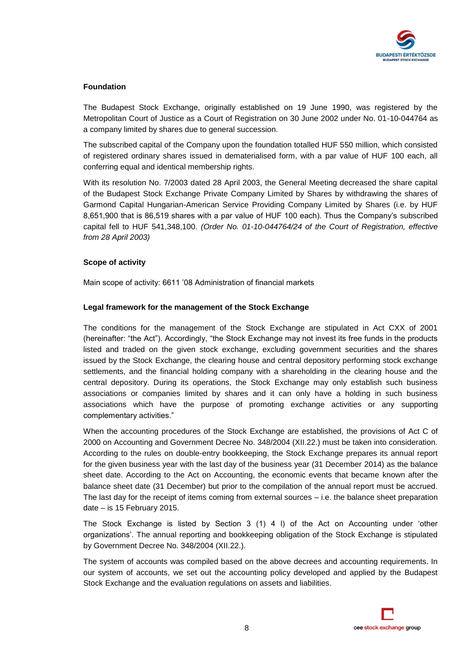

### **Foundation**

The Budapest Stock Exchange, originally established on 19 June 1990, was registered by the Metropolitan Court of Justice as a Court of Registration on 30 June 2002 under No. 01-10-044764 as a company limited by shares due to general succession.

The subscribed capital of the Company upon the foundation totalled HUF 550 million, which consisted of registered ordinary shares issued in dematerialised form, with a par value of HUF 100 each, all conferring equal and identical membership rights.

With its resolution No. 7/2003 dated 28 April 2003, the General Meeting decreased the share capital of the Budapest Stock Exchange Private Company Limited by Shares by withdrawing the shares of Garmond Capital Hungarian-American Service Providing Company Limited by Shares (i.e. by HUF 8,651,900 that is 86,519 shares with a par value of HUF 100 each). Thus the Company's subscribed capital fell to HUF 541,348,100. *(Order No. 01-10-044764/24 of the Court of Registration, effective from 28 April 2003)*

### **Scope of activity**

Main scope of activity: 6611 '08 Administration of financial markets

### **Legal framework for the management of the Stock Exchange**

The conditions for the management of the Stock Exchange are stipulated in Act CXX of 2001 (hereinafter: "the Act"). Accordingly, "the Stock Exchange may not invest its free funds in the products listed and traded on the given stock exchange, excluding government securities and the shares issued by the Stock Exchange, the clearing house and central depository performing stock exchange settlements, and the financial holding company with a shareholding in the clearing house and the central depository. During its operations, the Stock Exchange may only establish such business associations or companies limited by shares and it can only have a holding in such business associations which have the purpose of promoting exchange activities or any supporting complementary activities."

When the accounting procedures of the Stock Exchange are established, the provisions of Act C of 2000 on Accounting and Government Decree No. 348/2004 (XII.22.) must be taken into consideration. According to the rules on double-entry bookkeeping, the Stock Exchange prepares its annual report for the given business year with the last day of the business year (31 December 2014) as the balance sheet date. According to the Act on Accounting, the economic events that became known after the balance sheet date (31 December) but prior to the compilation of the annual report must be accrued. The last day for the receipt of items coming from external sources – i.e. the balance sheet preparation date – is 15 February 2015.

The Stock Exchange is listed by Section 3 (1) 4 l) of the Act on Accounting under 'other organizations'. The annual reporting and bookkeeping obligation of the Stock Exchange is stipulated by Government Decree No. 348/2004 (XII.22.).

The system of accounts was compiled based on the above decrees and accounting requirements. In our system of accounts, we set out the accounting policy developed and applied by the Budapest Stock Exchange and the evaluation regulations on assets and liabilities.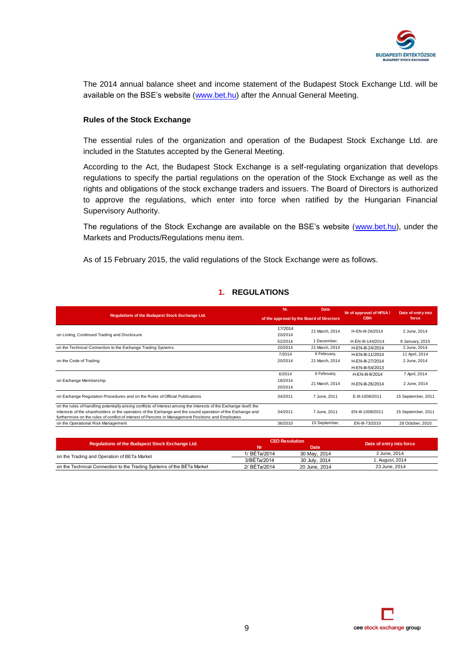

The 2014 annual balance sheet and income statement of the Budapest Stock Exchange Ltd. will be available on the BSE's website [\(www.bet.hu\)](http://www.bet.hu/) after the Annual General Meeting.

### **Rules of the Stock Exchange**

The essential rules of the organization and operation of the Budapest Stock Exchange Ltd. are included in the Statutes accepted by the General Meeting.

According to the Act, the Budapest Stock Exchange is a self-regulating organization that develops regulations to specify the partial regulations on the operation of the Stock Exchange as well as the rights and obligations of the stock exchange traders and issuers. The Board of Directors is authorized to approve the regulations, which enter into force when ratified by the Hungarian Financial Supervisory Authority.

The regulations of the Stock Exchange are available on the BSE's website [\(www.bet.hu\)](http://www.bet.hu/), under the Markets and Products/Regulations menu item.

As of 15 February 2015, the valid regulations of the Stock Exchange were as follows.

### **1. REGULATIONS**

| Nr.                                       | Date           |                   | Date of entry into      |
|-------------------------------------------|----------------|-------------------|-------------------------|
| of the approval by the Board of Directors |                | <b>CBH</b>        | force                   |
| 17/2014<br>20/2014                        | 21 March, 2014 | H-EN-III-26/2014  | 2 June, 2014            |
| 52/2014                                   | 1 December,    | H-EN-III-144/2014 | 9 January, 2015         |
| 20/2014                                   | 21 March, 2014 | H-EN-III-24/2014  | 2 June, 2014            |
| 7/2014                                    | 6 February,    | H-EN-III-11/2014  | 11 April, 2014          |
| 20/2014                                   | 21 March, 2014 | H-EN-III-27/2014  | 2 June, 2014            |
|                                           |                | H-EN-III-54/2013  |                         |
| 6/2014                                    | 6 February,    | H-EN-III-9/2014   | 7 April, 2014           |
| 18/2014<br>20/2014                        | 21 March, 2014 | H-EN-III-26/2014  | 2 June, 2014            |
| 34/2011                                   | 7 June, 2011   | E-III-1008/2011   | 15 September, 2011      |
| 34/2011                                   | 7 June, 2011   | EN-III-1008/2011  | 15 September, 2011      |
| 36/2010                                   | 15 September,  | EN-III-73/2010    | 28 October, 2010        |
|                                           |                |                   | Nr of approval of HFSA/ |

| Regulations of the Budapest Stock Exchange Ltd.                       |              | <b>CEO Resolution</b> | Date of entry into force |
|-----------------------------------------------------------------------|--------------|-----------------------|--------------------------|
|                                                                       |              | Date                  |                          |
| on the Trading and Operation of BETa Market                           | 1/ BETa/2014 | 30 May, 2014          | 2 June, 2014             |
|                                                                       | 3/BETa/2014  | 30 July, 2014         | I. August, 2014          |
| on the Technical Connection to the Trading Systems of the BETa Market | 2/ BETa/2014 | 20 June, 2014         | 23 June, 2014            |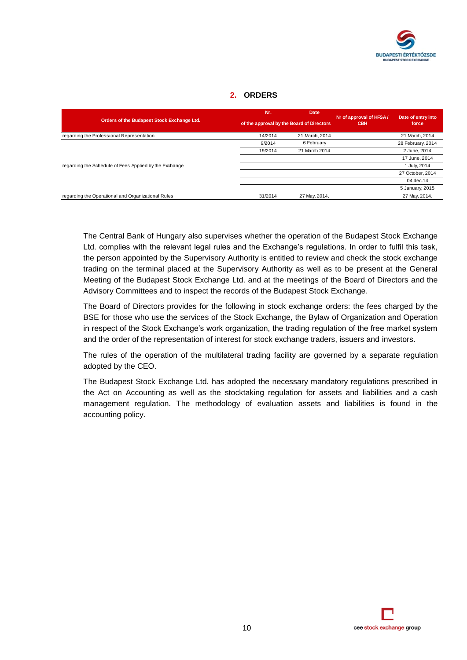

### **2. ORDERS**

|                                                        | Nr.                                       | Date /         | Nr of approval of HFSA/ | Date of entry into |
|--------------------------------------------------------|-------------------------------------------|----------------|-------------------------|--------------------|
| Orders of the Budapest Stock Exchange Ltd.             | of the approval by the Board of Directors |                | <b>CBH</b>              | force              |
| regarding the Professional Representation              | 14/2014                                   | 21 March, 2014 |                         | 21 March, 2014     |
|                                                        | 9/2014                                    | 6 February     |                         | 28 February, 2014  |
|                                                        | 19/2014                                   | 21 March 2014  |                         | 2 June, 2014       |
|                                                        |                                           |                |                         | 17 June, 2014      |
| regarding the Schedule of Fees Applied by the Exchange |                                           |                |                         | 1 July, 2014       |
|                                                        |                                           |                |                         | 27 October, 2014   |
|                                                        |                                           |                |                         | 04.dec.14          |
|                                                        |                                           |                |                         | 5 January, 2015    |
| regarding the Operational and Organizational Rules     | 31/2014                                   | 27 May, 2014.  |                         | 27 May, 2014.      |

The Central Bank of Hungary also supervises whether the operation of the Budapest Stock Exchange Ltd. complies with the relevant legal rules and the Exchange's regulations. In order to fulfil this task, the person appointed by the Supervisory Authority is entitled to review and check the stock exchange trading on the terminal placed at the Supervisory Authority as well as to be present at the General Meeting of the Budapest Stock Exchange Ltd. and at the meetings of the Board of Directors and the Advisory Committees and to inspect the records of the Budapest Stock Exchange.

The Board of Directors provides for the following in stock exchange orders: the fees charged by the BSE for those who use the services of the Stock Exchange, the Bylaw of Organization and Operation in respect of the Stock Exchange's work organization, the trading regulation of the free market system and the order of the representation of interest for stock exchange traders, issuers and investors.

The rules of the operation of the multilateral trading facility are governed by a separate regulation adopted by the CEO.

The Budapest Stock Exchange Ltd. has adopted the necessary mandatory regulations prescribed in the Act on Accounting as well as the stocktaking regulation for assets and liabilities and a cash management regulation. The methodology of evaluation assets and liabilities is found in the accounting policy.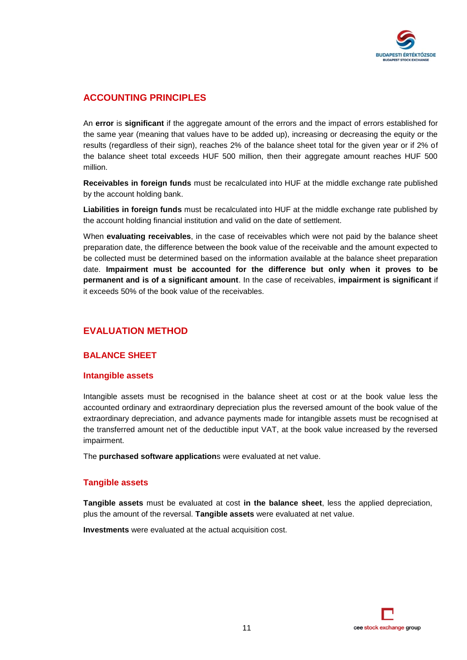

### **ACCOUNTING PRINCIPLES**

An **error** is **significant** if the aggregate amount of the errors and the impact of errors established for the same year (meaning that values have to be added up), increasing or decreasing the equity or the results (regardless of their sign), reaches 2% of the balance sheet total for the given year or if 2% of the balance sheet total exceeds HUF 500 million, then their aggregate amount reaches HUF 500 million.

**Receivables in foreign funds** must be recalculated into HUF at the middle exchange rate published by the account holding bank.

**Liabilities in foreign funds** must be recalculated into HUF at the middle exchange rate published by the account holding financial institution and valid on the date of settlement.

When **evaluating receivables**, in the case of receivables which were not paid by the balance sheet preparation date, the difference between the book value of the receivable and the amount expected to be collected must be determined based on the information available at the balance sheet preparation date. **Impairment must be accounted for the difference but only when it proves to be permanent and is of a significant amount**. In the case of receivables, **impairment is significant** if it exceeds 50% of the book value of the receivables.

### **EVALUATION METHOD**

### **BALANCE SHEET**

### **Intangible assets**

Intangible assets must be recognised in the balance sheet at cost or at the book value less the accounted ordinary and extraordinary depreciation plus the reversed amount of the book value of the extraordinary depreciation, and advance payments made for intangible assets must be recognised at the transferred amount net of the deductible input VAT, at the book value increased by the reversed impairment.

The **purchased software application**s were evaluated at net value.

### **Tangible assets**

**Tangible assets** must be evaluated at cost **in the balance sheet**, less the applied depreciation, plus the amount of the reversal. **Tangible assets** were evaluated at net value.

**Investments** were evaluated at the actual acquisition cost.

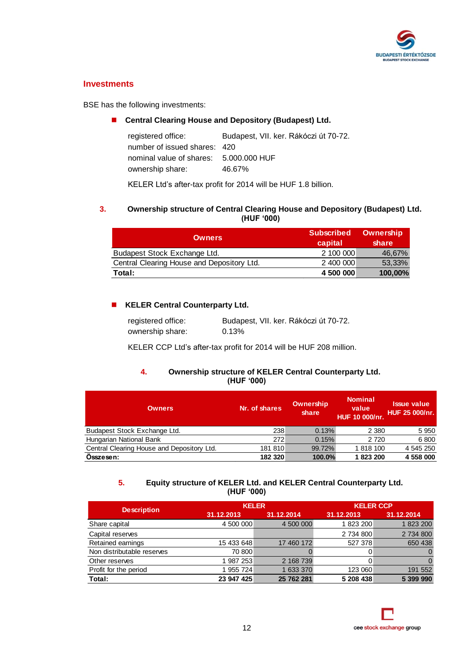

### **Investments**

BSE has the following investments:

### **Central Clearing House and Depository (Budapest) Ltd.**

| Budapest, VII. ker. Rákóczi út 70-72.  |
|----------------------------------------|
| number of issued shares: 420           |
| nominal value of shares: 5,000,000 HUF |
| 46.67%                                 |
|                                        |

KELER Ltd's after-tax profit for 2014 will be HUF 1.8 billion.

### **3. Ownership structure of Central Clearing House and Depository (Budapest) Ltd. (HUF '000)**

| <b>Owners</b>                              | <b>Subscribed</b><br>capital | Ownership<br>share |
|--------------------------------------------|------------------------------|--------------------|
| Budapest Stock Exchange Ltd.               | 2 100 000                    | 46,67%             |
| Central Clearing House and Depository Ltd. | 2 400 000                    | 53,33%             |
| Total:                                     | 4 500 000                    | 100,00%            |

### **KELER Central Counterparty Ltd.**

| registered office: | Budapest, VII. ker. Rákóczi út 70-72. |
|--------------------|---------------------------------------|
| ownership share:   | 0.13%                                 |

KELER CCP Ltd's after-tax profit for 2014 will be HUF 208 million.

### **4. Ownership structure of KELER Central Counterparty Ltd. (HUF '000)**

| <b>Owners</b>                              | Nr. of shares | Ownership<br>share | <b>Nominal</b><br>value<br>HUF 10 000/nr. | <b>Issue value</b><br><b>HUF 25 000/nr.</b> |
|--------------------------------------------|---------------|--------------------|-------------------------------------------|---------------------------------------------|
| Budapest Stock Exchange Ltd.               | 238           | 0.13%              | 2 3 8 0                                   | 5 9 5 0                                     |
| Hungarian National Bank                    | 272           | 0.15%              | 2 7 2 0                                   | 6800                                        |
| Central Clearing House and Depository Ltd. | 181 810       | 99.72%             | 1 818 100                                 | 4 545 250                                   |
| Osszesen:                                  | 182 320       | 100.0%             | 1823200                                   | 4 558 000                                   |

### **5. Equity structure of KELER Ltd. and KELER Central Counterparty Ltd. (HUF '000)**

|                            |            | <b>KELER</b> | <b>KELER CCP</b> |            |
|----------------------------|------------|--------------|------------------|------------|
| <b>Description</b>         | 31.12.2013 | 31.12.2014   | 31.12.2013       | 31.12.2014 |
| Share capital              | 4 500 000  | 4 500 000    | 1 823 200        | 1 823 200  |
| Capital reserves           |            |              | 2 734 800        | 2 734 800  |
| Retained earnings          | 15 433 648 | 17 460 172   | 527 378          | 650 438    |
| Non distributable reserves | 70 800     |              |                  |            |
| Other reserves             | 987 253    | 2 168 739    |                  |            |
| Profit for the period      | 955 724    | 633 370      | 123 060          | 191 552    |
| Total:                     | 23 947 425 | 25 762 281   | 5 208 438        | 5 399 990  |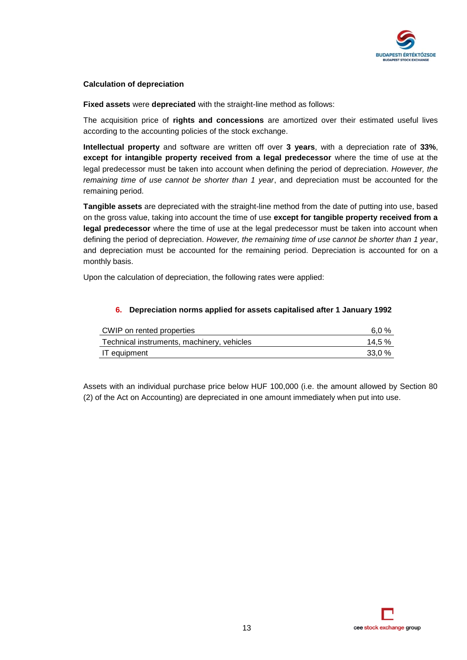

### **Calculation of depreciation**

**Fixed assets** were **depreciated** with the straight-line method as follows:

The acquisition price of **rights and concessions** are amortized over their estimated useful lives according to the accounting policies of the stock exchange.

**Intellectual property** and software are written off over **3 years**, with a depreciation rate of **33%**, **except for intangible property received from a legal predecessor** where the time of use at the legal predecessor must be taken into account when defining the period of depreciation. *However, the remaining time of use cannot be shorter than 1 year*, and depreciation must be accounted for the remaining period.

**Tangible assets** are depreciated with the straight-line method from the date of putting into use, based on the gross value, taking into account the time of use **except for tangible property received from a legal predecessor** where the time of use at the legal predecessor must be taken into account when defining the period of depreciation. *However, the remaining time of use cannot be shorter than 1 year*, and depreciation must be accounted for the remaining period. Depreciation is accounted for on a monthly basis.

Upon the calculation of depreciation, the following rates were applied:

### **6. Depreciation norms applied for assets capitalised after 1 January 1992**

| CWIP on rented properties                  | 6.0 %  |
|--------------------------------------------|--------|
| Technical instruments, machinery, vehicles | 14.5 % |
| IT equipment                               | 33.0 % |

Assets with an individual purchase price below HUF 100,000 (i.e. the amount allowed by Section 80 (2) of the Act on Accounting) are depreciated in one amount immediately when put into use.

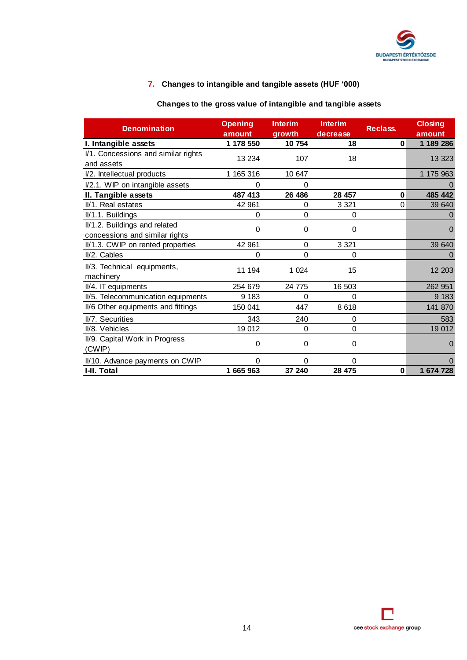

### **7. Changes to intangible and tangible assets (HUF '000)**

### **Changes to the gross value of intangible and tangible assets**

| <b>Denomination</b>                      | <b>Opening</b><br>amount | <b>Interim</b><br>growth | <b>Interim</b><br>decrease | <b>Reclass.</b> | <b>Closing</b><br>amount |
|------------------------------------------|--------------------------|--------------------------|----------------------------|-----------------|--------------------------|
| I. Intangible assets                     | 1 178 550                | 10754                    | 18                         | 0               | 1 189 286                |
| I/1. Concessions and similar rights      | 13 2 34                  | 107                      | 18                         |                 | 13 3 23                  |
| and assets                               |                          |                          |                            |                 |                          |
| I/2. Intellectual products               | 1 165 316                | 10 647                   |                            |                 | 1 175 963                |
| I/2.1. WIP on intangible assets          | 0                        | 0                        |                            |                 |                          |
| II. Tangible assets                      | 487 413                  | 26 48 6                  | 28 457                     | 0               | 485 442                  |
| II/1. Real estates                       | 42 961                   | $\Omega$                 | 3 3 2 1                    | $\Omega$        | 39 640                   |
| II/1.1. Buildings                        | 0                        | 0                        | $\mathbf 0$                |                 | 0                        |
| II/1.2. Buildings and related            | 0                        | 0                        | 0                          |                 | $\Omega$                 |
| concessions and similar rights           |                          |                          |                            |                 |                          |
| II/1.3. CWIP on rented properties        | 42 961                   | $\Omega$                 | 3 3 2 1                    |                 | 39 640                   |
| II/2. Cables                             | 0                        | 0                        | 0                          |                 | 0                        |
| II/3. Technical equipments,<br>machinery | 11 194                   | 1 0 2 4                  | 15                         |                 | 12 203                   |
| II/4. IT equipments                      | 254 679                  | 24 775                   | 16 503                     |                 | 262 951                  |
| II/5. Telecommunication equipments       | 9 1 8 3                  | 0                        | 0                          |                 | 9 1 8 3                  |
| II/6 Other equipments and fittings       | 150 041                  | 447                      | 8618                       |                 | 141 870                  |
| II/7. Securities                         | 343                      | 240                      | $\mathbf 0$                |                 | 583                      |
| II/8. Vehicles                           | 19 012                   | $\Omega$                 | $\Omega$                   |                 | 19 012                   |
| II/9. Capital Work in Progress<br>(CWIP) | 0                        | 0                        | $\mathbf 0$                |                 | 0                        |
| II/10. Advance payments on CWIP          | 0                        | $\Omega$                 | 0                          |                 | 0                        |
| I-II. Total                              | 1 665 963                | 37 240                   | 28 475                     | $\mathbf 0$     | 1 674 728                |

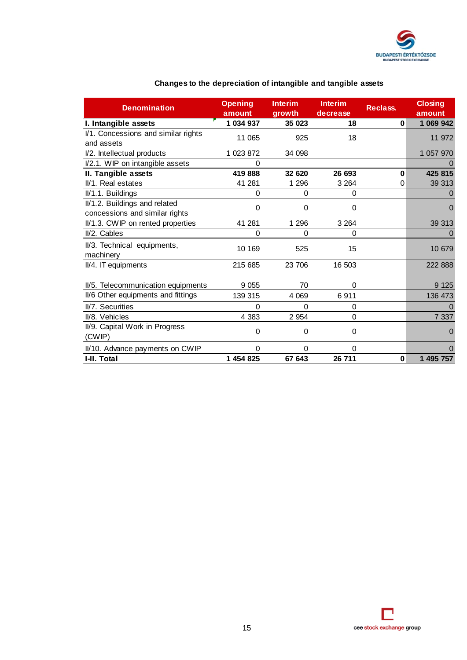

| <b>Denomination</b>                                             | <b>Opening</b><br>amount | <b>Interim</b><br>growth | <b>Interim</b><br>decrease | <b>Reclass.</b> | <b>Closing</b><br>amount |
|-----------------------------------------------------------------|--------------------------|--------------------------|----------------------------|-----------------|--------------------------|
| I. Intangible assets                                            | 1 034 937                | 35 023                   | 18                         | $\mathbf{0}$    | 1 069 942                |
| I/1. Concessions and similar rights<br>and assets               | 11 065                   | 925                      | 18                         |                 | 11 972                   |
| I/2. Intellectual products                                      | 1 023 872                | 34 098                   |                            |                 | 1 057 970                |
| I/2.1. WIP on intangible assets                                 | 0                        |                          |                            |                 |                          |
| II. Tangible assets                                             | 419888                   | 32 620                   | 26 693                     | $\bf{0}$        | 425 815                  |
| II/1. Real estates                                              | 41 281                   | 1 2 9 6                  | 3 2 6 4                    | 0               | 39 313                   |
| II/1.1. Buildings                                               | 0                        | 0                        | $\Omega$                   |                 |                          |
| II/1.2. Buildings and related<br>concessions and similar rights | 0                        | 0                        | 0                          |                 | $\Omega$                 |
| II/1.3. CWIP on rented properties                               | 41 281                   | 1 2 9 6                  | 3 2 6 4                    |                 | 39 31 3                  |
| II/2. Cables                                                    | 0                        | 0                        | 0                          |                 |                          |
| II/3. Technical equipments,<br>machinery                        | 10 169                   | 525                      | 15                         |                 | 10 679                   |
| II/4. IT equipments                                             | 215 685                  | 23 706                   | 16 503                     |                 | 222 888                  |
| II/5. Telecommunication equipments                              | 9 0 5 5                  | 70                       | 0                          |                 | 9 1 2 5                  |
| II/6 Other equipments and fittings                              | 139 315                  | 4 0 6 9                  | 6911                       |                 | 136 473                  |
| II/7. Securities                                                | 0                        | 0                        | $\Omega$                   |                 |                          |
| II/8. Vehicles                                                  | 4 3 8 3                  | 2 9 5 4                  | 0                          |                 | 7 3 3 7                  |
| II/9. Capital Work in Progress<br>(CWIP)                        | 0                        | 0                        | 0                          |                 | 0                        |
| II/10. Advance payments on CWIP                                 | 0                        | 0                        | 0                          |                 | 0                        |
| I-II. Total                                                     | 1 454 825                | 67 643                   | 26 711                     | 0               | 1 495 757                |

### **Changes to the depreciation of intangible and tangible assets**

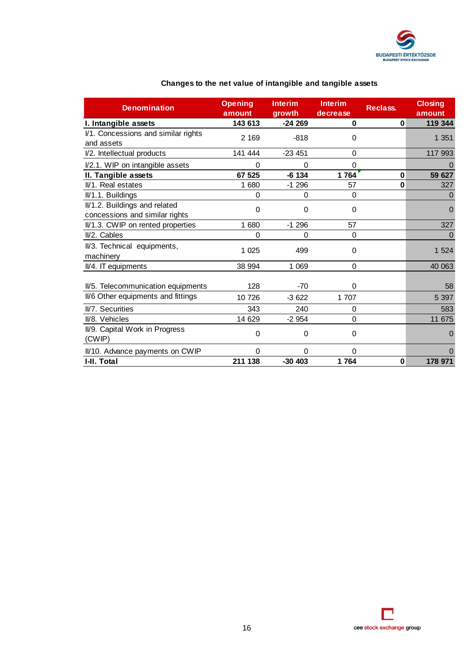

| <b>Denomination</b>                                                      | <b>Opening</b><br>amount | <b>Interim</b><br>growth | <b>Interim</b><br>decrease | Reclass. | <b>Closing</b><br>amount |
|--------------------------------------------------------------------------|--------------------------|--------------------------|----------------------------|----------|--------------------------|
| I. Intangible assets                                                     | 143 613                  | $-24269$                 | $\bf{0}$                   | 0        | 119 344                  |
| I/1. Concessions and similar rights<br>and assets                        | 2 1 6 9                  | $-818$                   | $\Omega$                   |          | 1 351                    |
| I/2. Intellectual products                                               | 141 444                  | $-23451$                 | $\Omega$                   |          | 117 993                  |
| I/2.1. WIP on intangible assets                                          | 0                        | $\Omega$                 | 0                          |          |                          |
| II. Tangible assets                                                      | 67 525                   | $-6134$                  | 1764                       | 0        | 59 627                   |
| II/1. Real estates                                                       | 1 680                    | $-1296$                  | 57                         | 0        | 327                      |
| II/1.1. Buildings                                                        | 0                        | $\Omega$                 | $\Omega$                   |          | 0                        |
| II/1.2. Buildings and related<br>concessions and similar rights          | 0                        | $\Omega$                 | $\Omega$                   |          | 0                        |
| II/1.3. CWIP on rented properties                                        | 1 680                    | $-1296$                  | 57                         |          | 327                      |
| II/2. Cables                                                             | 0                        | $\mathbf 0$              | 0                          |          | $\Omega$                 |
| II/3. Technical equipments,<br>machinery                                 | 1 0 25                   | 499                      | $\Omega$                   |          | 1 5 2 4                  |
| II/4. IT equipments                                                      | 38 994                   | 1 069                    | $\Omega$                   |          | 40 063                   |
| II/5. Telecommunication equipments<br>II/6 Other equipments and fittings | 128<br>10726             | $-70$<br>$-3622$         | 0<br>1 707                 |          | 58<br>5 3 9 7            |
| II/7. Securities                                                         | 343                      | 240                      | $\mathbf 0$                |          | 583                      |
| II/8. Vehicles                                                           | 14 629                   | $-2954$                  | $\Omega$                   |          | 11 675                   |
| II/9. Capital Work in Progress<br>(CWIP)                                 | 0                        | 0                        | $\mathbf 0$                |          | 0                        |
| II/10. Advance payments on CWIP                                          | 0                        | $\Omega$                 | 0                          |          | 0                        |
| I-II. Total                                                              | 211 138                  | $-30403$                 | 1764                       | 0        | 178 971                  |

### **Changes to the net value of intangible and tangible assets**

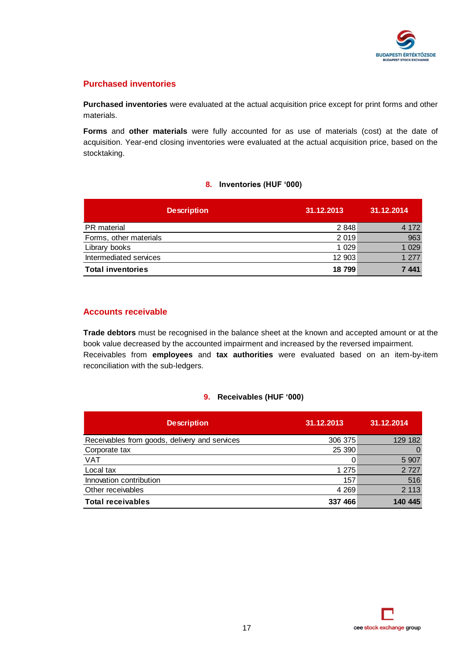

### **Purchased inventories**

**Purchased inventories** were evaluated at the actual acquisition price except for print forms and other materials.

**Forms** and **other materials** were fully accounted for as use of materials (cost) at the date of acquisition. Year-end closing inventories were evaluated at the actual acquisition price, based on the stocktaking.

### **8. Inventories (HUF '000)**

| <b>Description</b>       | 31.12.2013 | 31.12.2014 |
|--------------------------|------------|------------|
| PR material              | 2848       | 4 1 7 2    |
| Forms, other materials   | 2 0 1 9    | 963        |
| Library books            | 1 0 2 9    | 1 0 2 9    |
| Intermediated services   | 12 903     | 1 277      |
| <b>Total inventories</b> | 18799      | 7441       |

### **Accounts receivable**

**Trade debtors** must be recognised in the balance sheet at the known and accepted amount or at the book value decreased by the accounted impairment and increased by the reversed impairment. Receivables from **employees** and **tax authorities** were evaluated based on an item-by-item reconciliation with the sub-ledgers.

### **9. Receivables (HUF '000)**

| <b>Description</b>                            | 31.12.2013 | 31.12.2014 |
|-----------------------------------------------|------------|------------|
| Receivables from goods, delivery and services | 306 375    | 129 182    |
| Corporate tax                                 | 25 390     |            |
| <b>VAT</b>                                    |            | 5 9 0 7    |
| Local tax                                     | 1 2 7 5    | 2 7 2 7    |
| Innovation contribution                       | 157        | 516        |
| Other receivables                             | 4 2 6 9    | 2 1 1 3    |
| <b>Total receivables</b>                      | 337 466    | 140 445    |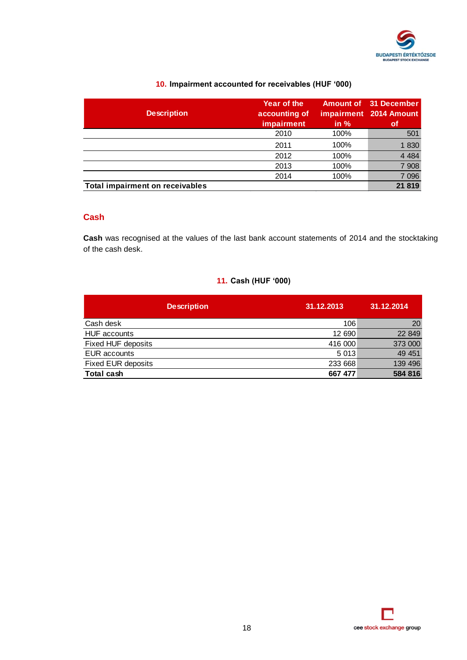

### **10. Impairment accounted for receivables (HUF '000)**

| <b>Description</b>                     | Year of the<br>accounting of<br>impairment | in $%$ | <b>Amount of 31 December</b><br>impairment 2014 Amount<br>οf |
|----------------------------------------|--------------------------------------------|--------|--------------------------------------------------------------|
|                                        | 2010                                       | 100%   | 501                                                          |
|                                        | 2011                                       | 100%   | 1830                                                         |
|                                        | 2012                                       | 100%   | 4 4 8 4                                                      |
|                                        | 2013                                       | 100%   | 7 9 0 8                                                      |
|                                        | 2014                                       | 100%   | 7 0 9 6                                                      |
| <b>Total impairment on receivables</b> |                                            |        | 21 819                                                       |

### **Cash**

**Cash** was recognised at the values of the last bank account statements of 2014 and the stocktaking of the cash desk.

### **11. Cash (HUF '000)**

| <b>Description</b>        | 31.12.2013 | 31.12.2014 |
|---------------------------|------------|------------|
| Cash desk                 | 106        | 20         |
| <b>HUF</b> accounts       | 12 690     | 22 849     |
| Fixed HUF deposits        | 416 000    | 373 000    |
| <b>EUR</b> accounts       | 5 0 1 3    | 49 451     |
| <b>Fixed EUR deposits</b> | 233 668    | 139 496    |
| <b>Total cash</b>         | 667 477    | 584 816    |

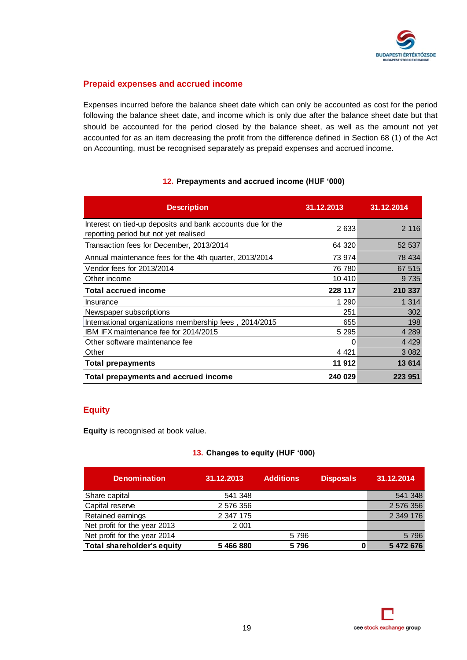

### **Prepaid expenses and accrued income**

Expenses incurred before the balance sheet date which can only be accounted as cost for the period following the balance sheet date, and income which is only due after the balance sheet date but that should be accounted for the period closed by the balance sheet, as well as the amount not yet accounted for as an item decreasing the profit from the difference defined in Section 68 (1) of the Act on Accounting, must be recognised separately as prepaid expenses and accrued income.

### **12. Prepayments and accrued income (HUF '000)**

| <b>Description</b>                                                                                  | 31.12.2013 | 31.12.2014 |
|-----------------------------------------------------------------------------------------------------|------------|------------|
| Interest on tied-up deposits and bank accounts due for the<br>reporting period but not yet realised | 2633       | 2 1 1 6    |
| Transaction fees for December, 2013/2014                                                            | 64 320     | 52 537     |
| Annual maintenance fees for the 4th quarter, 2013/2014                                              | 73 974     | 78 434     |
| Vendor fees for 2013/2014                                                                           | 76 780     | 67 515     |
| Other income                                                                                        | 10 410     | 9 7 3 5    |
| <b>Total accrued income</b>                                                                         | 228 117    | 210 337    |
| Insurance                                                                                           | 1 2 9 0    | 1 3 1 4    |
| Newspaper subscriptions                                                                             | 251        | 302        |
| International organizations membership fees, 2014/2015                                              | 655        | 198        |
| IBM IFX maintenance fee for 2014/2015                                                               | 5 2 9 5    | 4 2 8 9    |
| Other software maintenance fee                                                                      | 0          | 4 4 2 9    |
| Other                                                                                               | 4 4 2 1    | 3 0 8 2    |
| <b>Total prepayments</b>                                                                            | 11 912     | 13 614     |
| Total prepayments and accrued income                                                                | 240 029    | 223 951    |

### **Equity**

**Equity** is recognised at book value.

### **13. Changes to equity (HUF '000)**

| <b>Denomination</b>               | 31.12.2013 | <b>Additions</b> | <b>Disposals</b> | 31.12.2014 |
|-----------------------------------|------------|------------------|------------------|------------|
| Share capital                     | 541 348    |                  |                  | 541 348    |
| Capital reserve                   | 2 576 356  |                  |                  | 2 576 356  |
| Retained earnings                 | 2 347 175  |                  |                  | 2 349 176  |
| Net profit for the year 2013      | 2 0 0 1    |                  |                  |            |
| Net profit for the year 2014      |            | 5796             |                  | 5796       |
| <b>Total shareholder's equity</b> | 5 466 880  | 5796             |                  | 5 472 676  |

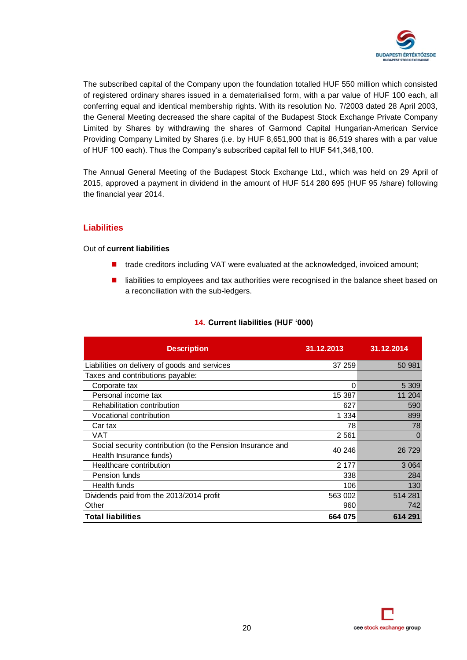

The subscribed capital of the Company upon the foundation totalled HUF 550 million which consisted of registered ordinary shares issued in a dematerialised form, with a par value of HUF 100 each, all conferring equal and identical membership rights. With its resolution No. 7/2003 dated 28 April 2003, the General Meeting decreased the share capital of the Budapest Stock Exchange Private Company Limited by Shares by withdrawing the shares of Garmond Capital Hungarian-American Service Providing Company Limited by Shares (i.e. by HUF 8,651,900 that is 86,519 shares with a par value of HUF 100 each). Thus the Company's subscribed capital fell to HUF 541,348,100.

The Annual General Meeting of the Budapest Stock Exchange Ltd., which was held on 29 April of 2015, approved a payment in dividend in the amount of HUF 514 280 695 (HUF 95 /share) following the financial year 2014.

### **Liabilities**

### Out of **current liabilities**

- trade creditors including VAT were evaluated at the acknowledged, invoiced amount;
- $\blacksquare$  liabilities to employees and tax authorities were recognised in the balance sheet based on a reconciliation with the sub-ledgers.

| <b>Description</b>                                                                    | 31.12.2013 | 31.12.2014 |
|---------------------------------------------------------------------------------------|------------|------------|
| Liabilities on delivery of goods and services                                         | 37 259     | 50 981     |
| Taxes and contributions payable:                                                      |            |            |
| Corporate tax                                                                         | 0          | 5 3 0 9    |
| Personal income tax                                                                   | 15 387     | 11 204     |
| Rehabilitation contribution                                                           | 627        | 590        |
| Vocational contribution                                                               | 1 334      | 899        |
| Car tax                                                                               | 78         | 78         |
| VAT                                                                                   | 2 5 6 1    | $\Omega$   |
| Social security contribution (to the Pension Insurance and<br>Health Insurance funds) | 40 246     | 26 729     |
| Healthcare contribution                                                               | 2 177      | 3 0 6 4    |
| Pension funds                                                                         | 338        | 284        |
| Health funds                                                                          | 106        | 130        |
| Dividends paid from the 2013/2014 profit                                              | 563 002    | 514 281    |
| Other                                                                                 | 960        | 742        |
| <b>Total liabilities</b>                                                              | 664 075    | 614 291    |

### **14. Current liabilities (HUF '000)**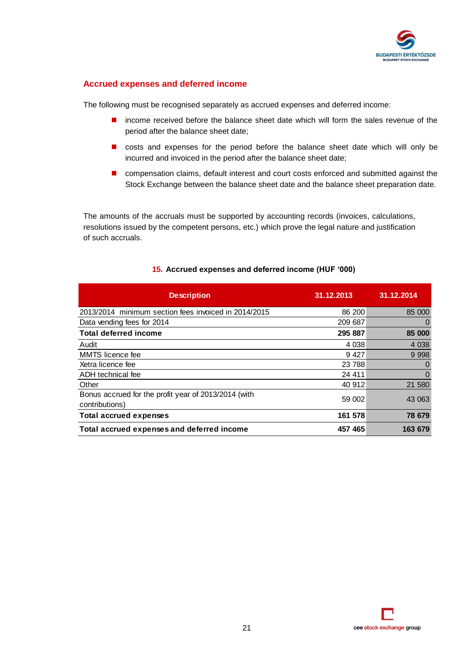

### **Accrued expenses and deferred income**

The following must be recognised separately as accrued expenses and deferred income:

- **n** income received before the balance sheet date which will form the sales revenue of the period after the balance sheet date;
- **n** costs and expenses for the period before the balance sheet date which will only be incurred and invoiced in the period after the balance sheet date;
- **n** compensation claims, default interest and court costs enforced and submitted against the Stock Exchange between the balance sheet date and the balance sheet preparation date.

The amounts of the accruals must be supported by accounting records (invoices, calculations, resolutions issued by the competent persons, etc.) which prove the legal nature and justification of such accruals.

| <b>Description</b>                                                     | 31.12.2013 | 31.12.2014 |
|------------------------------------------------------------------------|------------|------------|
| 2013/2014 minimum section fees invoiced in 2014/2015                   | 86 200     | 85 000     |
| Data vending fees for 2014                                             | 209 687    | $\Omega$   |
| <b>Total deferred income</b>                                           | 295 887    | 85 000     |
| Audit                                                                  | 4 0 38     | 4 0 38     |
| MMTS licence fee                                                       | 9427       | 9 9 9 8    |
| Xetra licence fee                                                      | 23 788     | $\Omega$   |
| ADH technical fee                                                      | 24 411     | $\Omega$   |
| Other                                                                  | 40 912     | 21 580     |
| Bonus accrued for the profit year of 2013/2014 (with<br>contributions) | 59 002     | 43 063     |
| <b>Total accrued expenses</b>                                          | 161 578    | 78 679     |
| Total accrued expenses and deferred income                             | 457 465    | 163 679    |

### **15. Accrued expenses and deferred income (HUF '000)**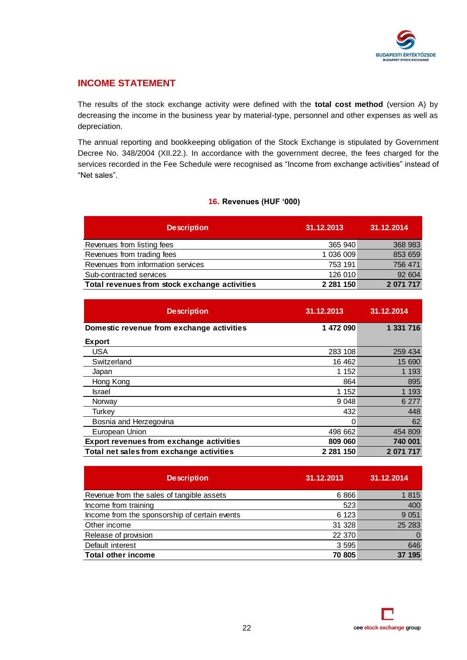

### **INCOME STATEMENT**

The results of the stock exchange activity were defined with the **total cost method** (version A) by decreasing the income in the business year by material-type, personnel and other expenses as well as depreciation.

The annual reporting and bookkeeping obligation of the Stock Exchange is stipulated by Government Decree No. 348/2004 (XII.22.). In accordance with the government decree, the fees charged for the services recorded in the Fee Schedule were recognised as "Income from exchange activities" instead of "Net sales".

### **16. Revenues (HUF '000)**

| <b>Description</b>                            | 31.12.2013    | 31.12.2014 |
|-----------------------------------------------|---------------|------------|
| Revenues from listing fees                    | 365 940       | 368 983    |
| Revenues from trading fees                    | 1 036 009     | 853 659    |
| Revenues from information services            | 753 191       | 756 471    |
| Sub-contracted services                       | 126 010       | 92 604     |
| Total revenues from stock exchange activities | 2 2 8 1 1 5 0 | 2 071 717  |

| <b>Description</b>                              | 31.12.2013    | 31.12.2014 |
|-------------------------------------------------|---------------|------------|
| Domestic revenue from exchange activities       | 1 472 090     | 1 331 716  |
| <b>Export</b>                                   |               |            |
| USA                                             | 283 108       | 259 434    |
| Switzerland                                     | 16 462        | 15 690     |
| Japan                                           | 1 152         | 1 1 9 3    |
| Hong Kong                                       | 864           | 895        |
| Israel                                          | 1 1 5 2       | 1 1 9 3    |
| Norway                                          | 9 0 48        | 6 277      |
| Turkev                                          | 432           | 448        |
| Bosnia and Herzegovina                          | 0             | 62         |
| European Union                                  | 498 662       | 454 809    |
| <b>Export revenues from exchange activities</b> | 809 060       | 740 001    |
| Total net sales from exchange activities        | 2 2 8 1 1 5 0 | 2 071 717  |

| <b>Description</b>                            | 31.12.2013 | 31.12.2014 |
|-----------------------------------------------|------------|------------|
| Revenue from the sales of tangible assets     | 6866       | 1815       |
| Income from training                          | 523        | 400        |
| Income from the sponsorship of certain events | 6 1 2 3    | 9 0 5 1    |
| Other income                                  | 31 328     | 25 28 3    |
| Release of provision                          | 22 370     | $\Omega$   |
| Default interest                              | 3 5 9 5    | 646        |
| <b>Total other income</b>                     | 70 805     | 195        |

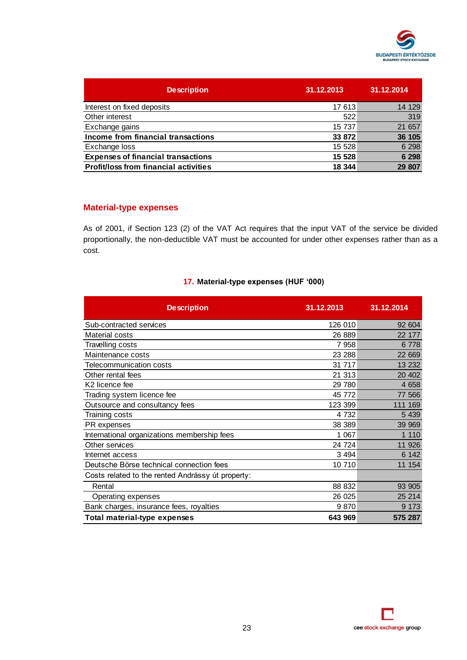

| <b>Description</b>                           | 31.12.2013 | 31.12.2014 |
|----------------------------------------------|------------|------------|
| Interest on fixed deposits                   | 17 613     | 14 129     |
| Other interest                               | 522        | 319        |
| Exchange gains                               | 15 737     | 21 657     |
| Income from financial transactions           | 33 872     | 36 105     |
| Exchange loss                                | 15 528     | 6 2 9 8    |
| <b>Expenses of financial transactions</b>    | 15 528     | 6 2 9 8    |
| <b>Profit/loss from financial activities</b> | 18 344     | 29 807     |

### **Material-type expenses**

As of 2001, if Section 123 (2) of the VAT Act requires that the input VAT of the service be divided proportionally, the non-deductible VAT must be accounted for under other expenses rather than as a cost.

### **17. Material-type expenses (HUF '000)**

| <b>Description</b>                                | 31.12.2013 | 31.12.2014 |
|---------------------------------------------------|------------|------------|
| Sub-contracted services                           | 126 010    | 92 604     |
| Material costs                                    | 26 889     | 22 177     |
| <b>Travelling costs</b>                           | 7958       | 6778       |
| Maintenance costs                                 | 23 288     | 22 6 69    |
| Telecommunication costs                           | 31 717     | 13 2 32    |
| Other rental fees                                 | 21 313     | 20 40 2    |
| K <sub>2</sub> licence fee                        | 29 780     | 4658       |
| Trading system licence fee                        | 45 772     | 77 566     |
| Outsource and consultancy fees                    | 123 399    | 111 169    |
| Training costs                                    | 4 7 3 2    | 5 4 3 9    |
| PR expenses                                       | 38 389     | 39 969     |
| International organizations membership fees       | 1 0 6 7    | 1 1 1 0    |
| Other services                                    | 24 724     | 11 926     |
| Internet access                                   | 3 4 9 4    | 6 142      |
| Deutsche Börse technical connection fees          | 10 710     | 11 154     |
| Costs related to the rented Andrássy út property: |            |            |
| Rental                                            | 88 832     | 93 905     |
| Operating expenses                                | 26 0 25    | 25 214     |
| Bank charges, insurance fees, royalties           | 9870       | 9 1 7 3    |
| Total material-type expenses                      | 643 969    | 575 287    |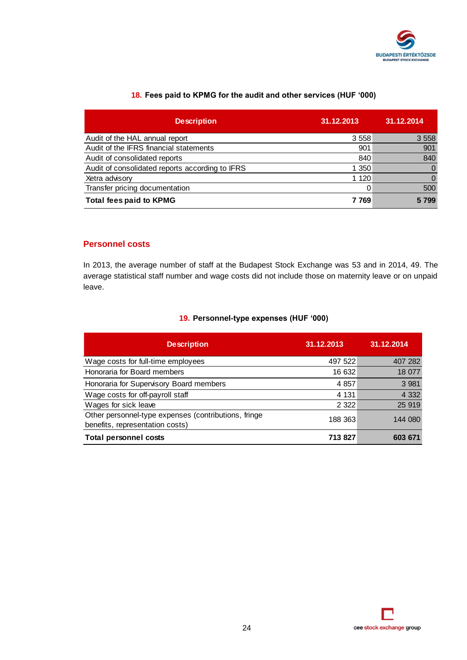

| 18. Fees paid to KPMG for the audit and other services (HUF '000) |  |
|-------------------------------------------------------------------|--|
|-------------------------------------------------------------------|--|

| <b>Description</b>                              | 31.12.2013 | 31.12.2014 |
|-------------------------------------------------|------------|------------|
| Audit of the HAL annual report                  | 3 5 5 8    | 3 5 5 8    |
| Audit of the IFRS financial statements          | 901        | 901        |
| Audit of consolidated reports                   | 840        | 840        |
| Audit of consolidated reports according to IFRS | 1 350      |            |
| Xetra advisory                                  | 1 1 2 0    |            |
| Transfer pricing documentation                  |            | 500        |
| <b>Total fees paid to KPMG</b>                  | 7 769      | 5799       |

### **Personnel costs**

In 2013, the average number of staff at the Budapest Stock Exchange was 53 and in 2014, 49. The average statistical staff number and wage costs did not include those on maternity leave or on unpaid leave.

### **19. Personnel-type expenses (HUF '000)**

| <b>Description</b>                                                                      | 31.12.2013 | 31.12.2014 |
|-----------------------------------------------------------------------------------------|------------|------------|
| Wage costs for full-time employees                                                      | 497 522    | 407 282    |
| Honoraria for Board members                                                             | 16 632     | 18 077     |
| Honoraria for Supervisory Board members                                                 | 4 8 5 7    | 3 9 8 1    |
| Wage costs for off-payroll staff                                                        | 4 1 3 1    | 4 3 3 2    |
| Wages for sick leave                                                                    | 2 3 2 2    | 25 919     |
| Other personnel-type expenses (contributions, fringe<br>benefits, representation costs) | 188 363    | 144 080    |
| <b>Total personnel costs</b>                                                            | 713 827    | 603 671    |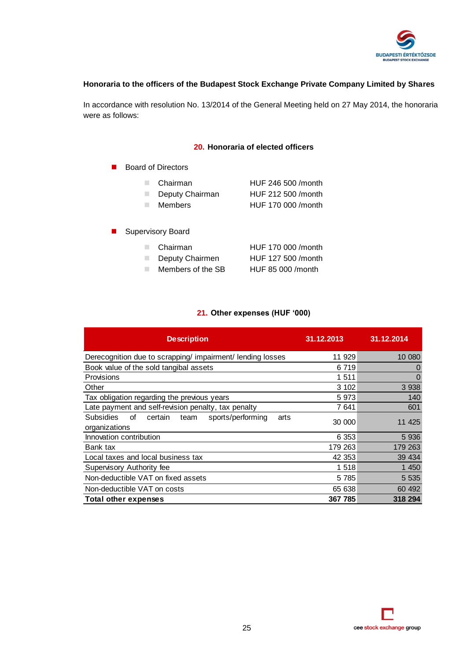

### **Honoraria to the officers of the Budapest Stock Exchange Private Company Limited by Shares**

In accordance with resolution No. 13/2014 of the General Meeting held on 27 May 2014, the honoraria were as follows:

### **20. Honoraria of elected officers**

| <b>Board of Directors</b>                     |                                                                 |
|-----------------------------------------------|-----------------------------------------------------------------|
| Chairman<br>Deputy Chairman<br><b>Members</b> | HUF 246 500 /month<br>HUF 212 500 / month<br>HUF 170 000 /month |
| <b>Supervisory Board</b>                      |                                                                 |
| Chairman<br>Deputy Chairmen                   | HUF 170 000 /month<br>HUF 127 500 / month                       |

Members of the SB HUF 85 000 /month

### **21. Other expenses (HUF '000)**

| <b>Description</b>                                                                      | 31.12.2013 | 31.12.2014 |
|-----------------------------------------------------------------------------------------|------------|------------|
| Derecognition due to scrapping/impairment/lending losses                                | 11 929     | 10 080     |
| Book value of the sold tangibal assets                                                  | 6 7 1 9    | O          |
| Provisions                                                                              | 1511       | 0          |
| Other                                                                                   | 3 102      | 3 9 3 8    |
| Tax obligation regarding the previous years                                             | 5973       | 140        |
| Late payment and self-revision penalty, tax penalty                                     | 7 641      | 601        |
| <b>Subsidies</b><br>οf<br>certain<br>sports/performing<br>team<br>arts<br>organizations | 30 000     | 11 425     |
| Innovation contribution                                                                 | 6 3 5 3    | 5936       |
| Bank tax                                                                                | 179 263    | 179 263    |
| Local taxes and local business tax                                                      | 42 353     | 39 434     |
| Supervisory Authority fee                                                               | 1518       | 1 450      |
| Non-deductible VAT on fixed assets                                                      | 5 7 8 5    | 5 5 3 5    |
| Non-deductible VAT on costs                                                             | 65 638     | 60 492     |
| <b>Total other expenses</b>                                                             | 367 785    | 318 294    |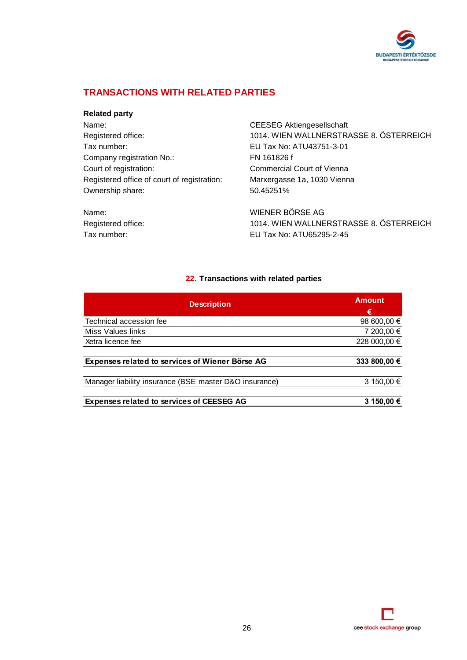

### **TRANSACTIONS WITH RELATED PARTIES**

### **Related party**

Name: CEESEG Aktiengesellschaft Tax number: EU Tax No: ATU43751-3-01 Company registration No.: FN 161826 f Court of registration: Commercial Court of Vienna Registered office of court of registration: Marxergasse 1a, 1030 Vienna Ownership share: 50.45251%

Registered office: 1014. WIEN WALLNERSTRASSE 8. ÖSTERREICH

Name: WIENER BÖRSE AG Registered office: 1014. WIEN WALLNERSTRASSE 8. ÖSTERREICH Tax number: EU Tax No: ATU65295-2-45

### **22. Transactions with related parties**

| <b>Description</b>                                     | <b>Amount</b> |
|--------------------------------------------------------|---------------|
|                                                        | €             |
| Technical accession fee                                | 98 600,00 €   |
| Miss Values links                                      | 7 200,00 €    |
| Xetra licence fee                                      | 228 000,00 €  |
|                                                        |               |
| <b>Expenses related to services of Wiener Börse AG</b> | 333 800,00 €  |
|                                                        |               |
| Manager liability insurance (BSE master D&O insurance) | 3 150,00 €    |
|                                                        |               |
| <b>Expenses related to services of CEESEG AG</b>       | 3 150,00 €    |

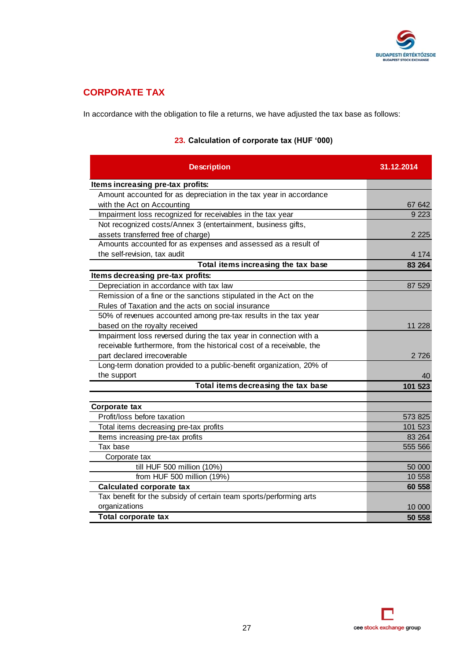

### **CORPORATE TAX**

In accordance with the obligation to file a returns, we have adjusted the tax base as follows:

| <b>Description</b>                                                    | 31.12.2014 |
|-----------------------------------------------------------------------|------------|
| Items increasing pre-tax profits:                                     |            |
| Amount accounted for as depreciation in the tax year in accordance    |            |
| with the Act on Accounting                                            | 67 642     |
| Impairment loss recognized for receivables in the tax year            | 9 2 2 3    |
| Not recognized costs/Annex 3 (entertainment, business gifts,          |            |
| assets transferred free of charge)                                    | 2 2 2 5    |
| Amounts accounted for as expenses and assessed as a result of         |            |
| the self-revision, tax audit                                          | 4 1 7 4    |
| Total items increasing the tax base                                   | 83 264     |
| Items decreasing pre-tax profits:                                     |            |
| Depreciation in accordance with tax law                               | 87 529     |
| Remission of a fine or the sanctions stipulated in the Act on the     |            |
| Rules of Taxation and the acts on social insurance                    |            |
| 50% of revenues accounted among pre-tax results in the tax year       |            |
| based on the royalty received                                         | 11 228     |
| Impairment loss reversed during the tax year in connection with a     |            |
| receivable furthermore, from the historical cost of a receivable, the |            |
| part declared irrecoverable                                           | 2 7 2 6    |
| Long-term donation provided to a public-benefit organization, 20% of  |            |
| the support                                                           | 40         |
| Total items decreasing the tax base                                   | 101 523    |
|                                                                       |            |
| Corporate tax                                                         |            |
| Profit/loss before taxation                                           | 573 825    |
| Total items decreasing pre-tax profits                                | 101 523    |
| Items increasing pre-tax profits                                      | 83 264     |
| Tax base                                                              | 555 566    |
| Corporate tax                                                         |            |
| till HUF 500 million (10%)                                            | 50 000     |
| from HUF 500 million (19%)                                            | 10 558     |
| <b>Calculated corporate tax</b>                                       | 60 558     |
| Tax benefit for the subsidy of certain team sports/performing arts    |            |
| organizations                                                         | 10 000     |
| <b>Total corporate tax</b>                                            | 50 558     |

### **23. Calculation of corporate tax (HUF '000)**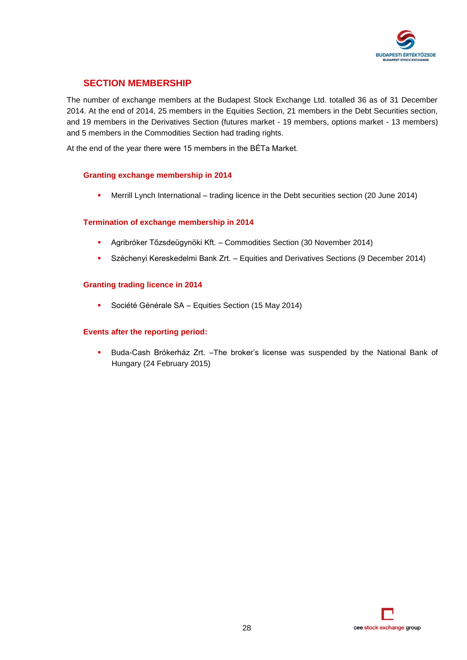

### **SECTION MEMBERSHIP**

The number of exchange members at the Budapest Stock Exchange Ltd. totalled 36 as of 31 December 2014. At the end of 2014, 25 members in the Equities Section, 21 members in the Debt Securities section, and 19 members in the Derivatives Section (futures market - 19 members, options market - 13 members) and 5 members in the Commodities Section had trading rights.

At the end of the year there were 15 members in the BÉTa Market.

### **Granting exchange membership in 2014**

Merrill Lynch International – trading licence in the Debt securities section (20 June 2014)

### **Termination of exchange membership in 2014**

- Agribróker Tőzsdeügynöki Kft. Commodities Section (30 November 2014)
- Széchenyi Kereskedelmi Bank Zrt. Equities and Derivatives Sections (9 December 2014)

### **Granting trading licence in 2014**

Société Générale SA – Equities Section (15 May 2014)

### **Events after the reporting period:**

 Buda-Cash Brókerház Zrt. –The broker's license was suspended by the National Bank of Hungary (24 February 2015)

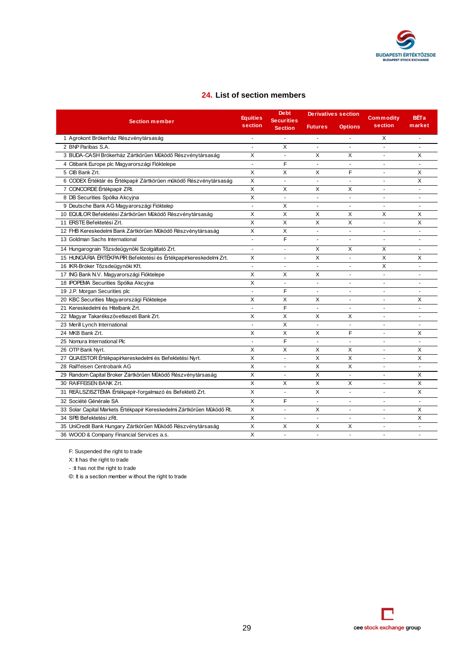

### **24. List of section members**

|                                                                        | <b>Equities</b>         | <b>Debt</b><br><b>Securities</b> | <b>Derivatives section</b> |                          | <b>Commodity</b> | <b>BÉTa</b>    |
|------------------------------------------------------------------------|-------------------------|----------------------------------|----------------------------|--------------------------|------------------|----------------|
| <b>Section member</b>                                                  | section                 | <b>Section</b>                   | <b>Futures</b>             | <b>Options</b>           | section          | market         |
| 1 Agrokont Brókerház Részvénytársaság                                  | $\sim$                  |                                  | L.                         |                          | X                | L.             |
| 2 BNP Paribas S.A.                                                     |                         | X                                |                            |                          |                  |                |
| 3 BUDA-CASH Brókerház Zártkörűen Működő Részvénytársaság               | X                       | ä,                               | X                          | X                        | ä,               | X              |
| 4 Citibank Europe plc Magyarországi Fióktelepe                         | $\sim$                  | F                                | $\blacksquare$             | $\overline{\phantom{a}}$ | ٠                |                |
| 5 CIB Bank Zrt.                                                        | X                       | X                                | X                          | F                        |                  | X              |
| 6 CODEX Értéktár és Értékpapír Zártkörűen működő Részvénytársaság      | $\times$                | ÷.                               | $\overline{a}$             | $\overline{a}$           | ä,               | X              |
| 7 CONCORDE Értékpapír ZRt.                                             | $\times$                | X                                | X                          | Χ                        | ä,               | ÷.             |
| 8 DB Securities Spólka Akcyjna                                         | $\times$                | $\overline{\phantom{a}}$         | ÷,                         | $\blacksquare$           | ÷,               |                |
| 9 Deutsche Bank AG Magyarországi Fióktelep                             | ÷,                      | X                                | ٠                          |                          | ٠                | $\sim$         |
| 10 EQUILOR Befektetési Zártkörűen Működő Részvénytársaság              | $\times$                | X                                | X                          | X                        | X                | X              |
| 11 ERSTE Befektetési Zrt.                                              | $\overline{\mathsf{x}}$ | $\overline{X}$                   | $\overline{\mathsf{x}}$    | $\times$                 | ä,               | $\mathsf{x}$   |
| 12 FHB Kereskedelmi Bank Zártkörűen Működő Részvénytársaság            | $\times$                | X                                | ä,                         | $\tilde{\phantom{a}}$    | $\sim$           | $\sim$         |
| 13 Goldman Sachs International                                         | $\overline{a}$          | $\overline{F}$                   |                            |                          | ä,               |                |
| 14 Hungarograin Tőzsdeügynöki Szolgáltató Zrt.                         | ÷.                      | $\overline{a}$                   | X                          | X                        | X                | ÷.             |
| 15 HUNGÁRIA ÉRTÉKPAPÍR Befektetési és Értékpapírkereskedelmi Zrt.      | X                       | ٠                                | X                          |                          | X                | X              |
| 16 IKR-Bróker Tőzsdeügynöki Kft.                                       | ÷,                      |                                  |                            |                          | X                |                |
| 17 ING Bank N.V. Magyarországi Fióktelepe                              | х                       | X                                | Χ                          | ä,                       | ä,               | $\sim$         |
| 18 IPOPEMA Securities Spólka Akcyjna                                   | X                       | ÷.                               | L.                         |                          | ä,               |                |
| 19 J.P. Morgan Securities plc                                          | $\blacksquare$          | F                                | ä,                         | $\ddot{\phantom{1}}$     |                  | $\blacksquare$ |
| 20 KBC Securities Magyarországi Fióktelepe                             | X                       | X                                | X                          | $\overline{\phantom{a}}$ | $\blacksquare$   | X              |
| 21 Kereskedelmi és Hitelbank Zrt.                                      | ÷,                      | F                                | $\blacksquare$             | ÷.                       | ä,               | ÷.             |
| 22 Magyar Takarékszövetkezeti Bank Zrt.                                | X                       | X                                | X                          | X                        | ٠                | $\blacksquare$ |
| 23 Merill Lynch International                                          | ÷,                      | X                                | $\blacksquare$             | $\sim$                   | ٠                | $\sim$         |
| 24 MKB Bank Zrt.                                                       | X                       | Χ                                | X                          | F                        | ä,               | X              |
| 25 Nomura International Plc                                            | $\sim$                  | F                                | L.                         | $\tilde{\phantom{a}}$    | ä,               | $\sim$         |
| 26 OTP Bank Nyrt.                                                      | X                       | X                                | X                          | X                        | ä,               | Χ              |
| 27 QUAESTOR Értékpapírkereskedelmi és Befektetési Nyrt.                | $\times$                | $\sim$                           | X                          | X                        | ٠                | X              |
| 28 Raiffeisen Centrobank AG                                            | $\times$                | ÷.                               | X                          | X                        | ٠                |                |
| 29 Random Capital Broker Zártkörűen Működő Részvénytársaság            | X                       | ä,                               | X                          | $\overline{\phantom{a}}$ | ä,               | X              |
| 30 RAIFFEISEN BANK Zrt.                                                | X                       | X                                | X                          | X                        | ÷.               | X              |
| 31 REÁLSZISZTÉMA Értékpapír-forgalmazó és Befektető Zrt.               | X                       | ÷,                               | X                          | L.                       | ä,               | X              |
| 32 Société Générale SA                                                 | X                       | F                                | ä,                         | ÷.                       | ä,               | $\mathbf{r}$   |
| 33 Solar Capital Markets Értékpapír Kereskedelmi Zártkörűen Működő Rt. | $\times$                | ä,                               | X                          | ÷,                       | ä,               | X              |
| 34 SPB Befektetési zRt.                                                | X                       | ÷                                | ÷,                         | ä,                       | ÷,               | X              |
| 35 UniCredit Bank Hungary Zártkörűen Működő Részvénytársaság           | X                       | X                                | Χ                          | X                        | ٠                | $\sim$         |
| 36 WOOD & Company Financial Services a.s.                              | X                       |                                  |                            |                          |                  |                |

F: Suspended the right to trade

 $X:$  It has the right to trade

- :It has not the right to trade

©: It is a section member w ithout the right to trade

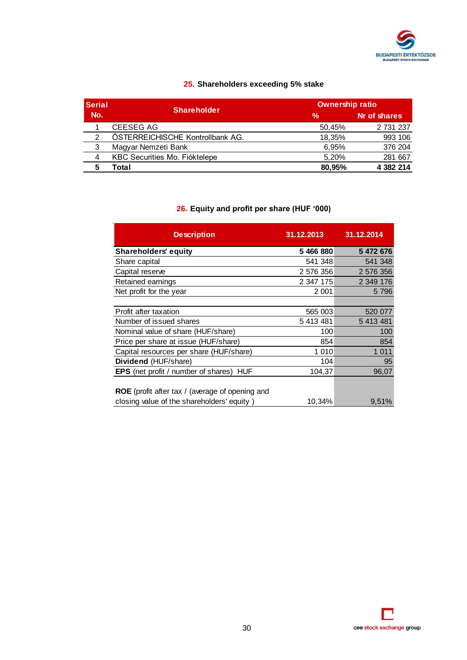

### **25. Shareholders exceeding 5% stake**

| <b>Serial</b> | <b>Shareholder</b>               | <b>Ownership ratio</b> |              |  |
|---------------|----------------------------------|------------------------|--------------|--|
| No.           |                                  | $\frac{0}{0}$          | Nr of shares |  |
|               | CEESEG AG                        | 50,45%                 | 2 731 237    |  |
| 2             | ÖSTERREICHISCHE Kontrollbank AG. | 18.35%                 | 993 106      |  |
| 3             | Magyar Nemzeti Bank              | 6.95%                  | 376 204      |  |
| 4             | KBC Securities Mo. Fióktelepe    | 5.20%                  | 281 667      |  |
|               | Total                            | 80.95%                 | 4 382 214    |  |

### **26. Equity and profit per share (HUF '000)**

| <b>Description</b>                                       | 31.12.2013 | 31.12.2014 |
|----------------------------------------------------------|------------|------------|
| <b>Shareholders' equity</b>                              | 5 466 880  | 5 472 676  |
| Share capital                                            | 541 348    | 541 348    |
| Capital reserve                                          | 2 576 356  | 2 576 356  |
| Retained earnings                                        | 2 347 175  | 2 349 176  |
| Net profit for the year                                  | 2 0 0 1    | 5796       |
|                                                          |            |            |
| Profit after taxation                                    | 565 003    | 520 077    |
| Number of issued shares                                  | 5 413 481  | 5 413 481  |
| Nominal value of share (HUF/share)                       | 100        | 100        |
| Price per share at issue (HUF/share)                     | 854        | 854        |
| Capital resources per share (HUF/share)                  | 1 0 1 0    | 1 0 1 1    |
| Dividend (HUF/share)                                     | 104        | 95         |
| <b>EPS</b> (net profit / number of shares)<br><b>HUF</b> | 104,37     | 96,07      |
|                                                          |            |            |
| <b>ROE</b> (profit after tax / (average of opening and   |            |            |
| closing value of the shareholders' equity)               | 10,34%     | 9,51%      |

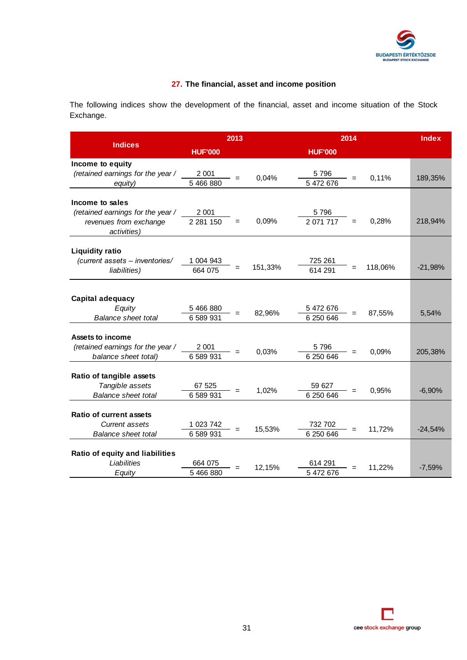

### **27. The financial, asset and income position**

The following indices show the development of the financial, asset and income situation of the Stock Exchange.

|                                   | 2013           |     |         | 2014              | <b>Index</b> |           |
|-----------------------------------|----------------|-----|---------|-------------------|--------------|-----------|
| <b>Indices</b>                    | <b>HUF'000</b> |     |         | <b>HUF'000</b>    |              |           |
| Income to equity                  |                |     |         |                   |              |           |
| (retained earnings for the year / | 2 0 0 1        |     | 0,04%   | 5796              | 0,11%        | 189,35%   |
| equity)                           | 5 466 880      |     |         | 5 472 676         |              |           |
| Income to sales                   |                |     |         |                   |              |           |
| (retained earnings for the year / | 2 0 0 1        |     |         | 5796              |              |           |
| revenues from exchange            | 2 2 8 1 1 5 0  | $=$ | 0,09%   | 2 071 717<br>$=$  | 0,28%        | 218,94%   |
| activities)                       |                |     |         |                   |              |           |
| <b>Liquidity ratio</b>            |                |     |         |                   |              |           |
| (current assets - inventories/    | 1 004 943      |     |         | 725 261           |              |           |
| liabilities)                      | 664 075        |     | 151,33% | 614 291           | 118,06%      | $-21,98%$ |
|                                   |                |     |         |                   |              |           |
| Capital adequacy                  |                |     |         |                   |              |           |
| Equity                            | 5 466 880      |     |         | 5 472 676         |              |           |
| <b>Balance sheet total</b>        | 6 589 931      |     | 82,96%  | 6 250 646         | 87,55%       | 5,54%     |
|                                   |                |     |         |                   |              |           |
| Assets to income                  |                |     |         |                   |              |           |
| (retained earnings for the year / | 2 0 0 1        |     | 0,03%   | 5796<br>6 250 646 | 0,09%        | 205,38%   |
| balance sheet total)              | 6 589 931      |     |         |                   |              |           |
| Ratio of tangible assets          |                |     |         |                   |              |           |
| Tangible assets                   | 67 525         |     | 1,02%   | 59 627            | 0,95%        | $-6,90%$  |
| <b>Balance sheet total</b>        | 6 589 931      |     |         | 6 250 646         |              |           |
| <b>Ratio of current assets</b>    |                |     |         |                   |              |           |
| Current assets                    | 1 023 742      |     |         | 732 702           |              |           |
| Balance sheet total               | 6 589 931      |     | 15,53%  | 6 250 646         | 11,72%       | $-24,54%$ |
|                                   |                |     |         |                   |              |           |
| Ratio of equity and liabilities   |                |     |         |                   |              |           |
| Liabilities                       | 664 075        |     | 12,15%  | 614 291           | 11,22%       | $-7,59%$  |
| Equity                            | 5 466 880      |     |         | 5 472 676         |              |           |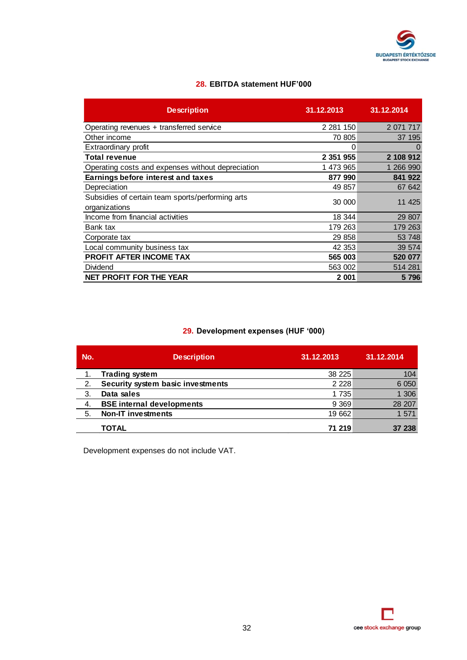

### **28. EBITDA statement HUF'000**

| <b>Description</b>                                                | 31.12.2013    | 31.12.2014  |
|-------------------------------------------------------------------|---------------|-------------|
| Operating revenues + transferred service                          | 2 2 8 1 1 5 0 | 2 0 71 71 7 |
| Other income                                                      | 70 805        | 37 195      |
| Extraordinary profit                                              | 0             | $\Omega$    |
| <b>Total revenue</b>                                              | 2 351 955     | 2 108 912   |
| Operating costs and expenses without depreciation                 | 1 473 965     | 1 266 990   |
| <b>Earnings before interest and taxes</b>                         | 877 990       | 841 922     |
| Depreciation                                                      | 49 857        | 67 642      |
| Subsidies of certain team sports/performing arts<br>organizations | 30 000        | 11 4 25     |
| Income from financial activities                                  | 18 344        | 29 807      |
| Bank tax                                                          | 179 263       | 179 263     |
| Corporate tax                                                     | 29 858        | 53 748      |
| Local community business tax                                      | 42 353        | 39 574      |
| PROFIT AFTER INCOME TAX                                           | 565 003       | 520 077     |
| Dividend                                                          | 563 002       | 514 281     |
| <b>NET PROFIT FOR THE YEAR</b>                                    | 2 001         | 5796        |

### **29. Development expenses (HUF '000)**

| No. | <b>Description</b>                | 31.12.2013 | 31.12.2014 |
|-----|-----------------------------------|------------|------------|
| 1.  | <b>Trading system</b>             | 38 2 25    | 104        |
| 2.  | Security system basic investments | 2 2 2 8    | 6 0 5 0    |
| 3.  | Data sales                        | 1 7 3 5    | 1 306      |
| -4. | <b>BSE internal developments</b>  | 9 3 6 9    | 28 207     |
| 5.  | <b>Non-IT investments</b>         | 19 662     | 1571       |
|     | TOTAL                             | 71 219     | 37 238     |

Development expenses do not include VAT.

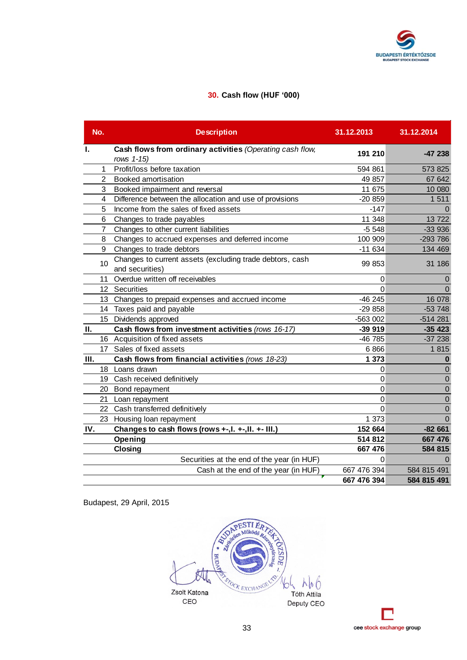

### **30. Cash flow (HUF '000)**

|      | No.            | <b>Description</b>                                                          | 31.12.2013     | 31.12.2014     |
|------|----------------|-----------------------------------------------------------------------------|----------------|----------------|
| Ι.   |                | Cash flows from ordinary activities (Operating cash flow,                   | 191 210        | $-47238$       |
|      |                | rows 1-15)                                                                  |                |                |
|      | 1              | Profit/loss before taxation                                                 | 594 861        | 573 825        |
|      | $\mathbf{2}$   | <b>Booked amortisation</b>                                                  | 49 857         | 67 642         |
|      | 3              | Booked impairment and reversal                                              | 11 675         | 10 080         |
|      | 4              | Difference between the allocation and use of provisions                     | $-20859$       | 1511           |
|      | 5              | Income from the sales of fixed assets                                       | $-147$         | $\Omega$       |
|      | 6              | Changes to trade payables                                                   | 11 348         | 13722          |
|      | $\overline{7}$ | Changes to other current liabilities                                        | $-5548$        | $-33936$       |
|      | 8              | Changes to accrued expenses and deferred income                             | 100 909        | $-293786$      |
|      | 9              | Changes to trade debtors                                                    | $-11634$       | 134 469        |
|      | 10             | Changes to current assets (excluding trade debtors, cash<br>and securities) | 99 853         | 31 186         |
|      |                | 11 Overdue written off receivables                                          | $\mathbf 0$    | $\mathbf 0$    |
|      |                | 12 Securities                                                               | $\overline{0}$ | $\overline{0}$ |
|      |                | 13 Changes to prepaid expenses and accrued income                           | $-46245$       | 16 078         |
|      |                | 14 Taxes paid and payable                                                   | $-29858$       | $-53748$       |
|      |                | 15 Dividends approved                                                       | -563 002       | $-514281$      |
| П.   |                | Cash flows from investment activities (rows 16-17)                          | $-399919$      | $-35423$       |
|      |                | 16 Acquisition of fixed assets                                              | -46 785        | $-37238$       |
|      |                | 17 Sales of fixed assets                                                    | 6866           | 1815           |
| III. |                | Cash flows from financial activities (rows 18-23)                           | 1 373          | $\bf{0}$       |
|      |                | 18 Loans drawn                                                              | $\mathbf 0$    | $\Omega$       |
|      |                | 19 Cash received definitively                                               | 0              | $\mathbf 0$    |
|      |                | 20 Bond repayment                                                           | 0              | $\mathbf 0$    |
|      |                | 21 Loan repayment                                                           | 0              | $\mathbf 0$    |
|      |                | 22 Cash transferred definitively                                            | $\mathbf 0$    | $\mathbf 0$    |
|      |                | 23 Housing loan repayment                                                   | 1 373          | $\Omega$       |
| IV.  |                | Changes to cash flows (rows +-, l. +-, ll. +- III.)                         | 152 664        | $-82661$       |
|      |                | Opening                                                                     | 514 812        | 667 476        |
|      |                | Closing                                                                     | 667 476        | 584 815        |
|      |                | Securities at the end of the year (in HUF)                                  | $\mathbf 0$    | $\Omega$       |
|      |                | Cash at the end of the year (in HUF)                                        | 667 476 394    | 584 815 491    |
|      |                |                                                                             | 667 476 394    | 584 815 491    |



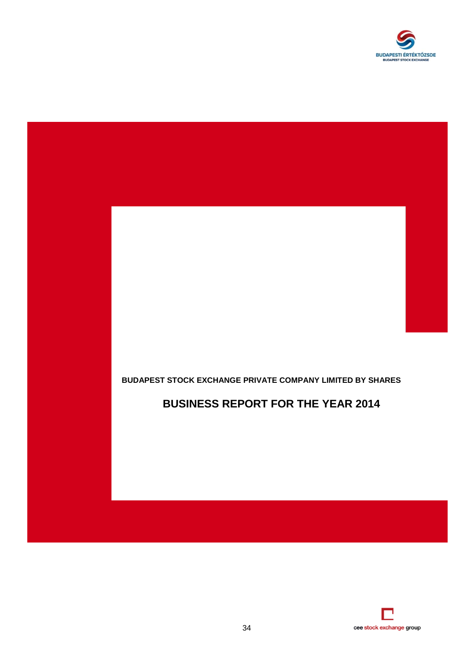



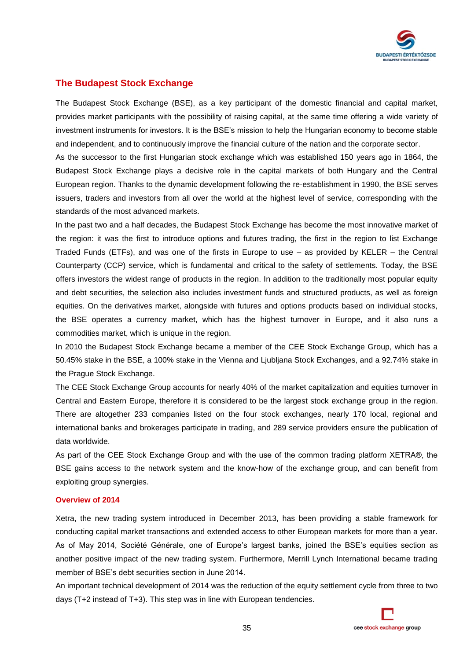

### **The Budapest Stock Exchange**

The Budapest Stock Exchange (BSE), as a key participant of the domestic financial and capital market, provides market participants with the possibility of raising capital, at the same time offering a wide variety of investment instruments for investors. It is the BSE's mission to help the Hungarian economy to become stable and independent, and to continuously improve the financial culture of the nation and the corporate sector.

As the successor to the first Hungarian stock exchange which was established 150 years ago in 1864, the Budapest Stock Exchange plays a decisive role in the capital markets of both Hungary and the Central European region. Thanks to the dynamic development following the re-establishment in 1990, the BSE serves issuers, traders and investors from all over the world at the highest level of service, corresponding with the standards of the most advanced markets.

In the past two and a half decades, the Budapest Stock Exchange has become the most innovative market of the region: it was the first to introduce options and futures trading, the first in the region to list Exchange Traded Funds (ETFs), and was one of the firsts in Europe to use – as provided by KELER – the Central Counterparty (CCP) service, which is fundamental and critical to the safety of settlements. Today, the BSE offers investors the widest range of products in the region. In addition to the traditionally most popular equity and debt securities, the selection also includes investment funds and structured products, as well as foreign equities. On the derivatives market, alongside with futures and options products based on individual stocks, the BSE operates a currency market, which has the highest turnover in Europe, and it also runs a commodities market, which is unique in the region.

In 2010 the Budapest Stock Exchange became a member of the CEE Stock Exchange Group, which has a 50.45% stake in the BSE, a 100% stake in the Vienna and Ljubljana Stock Exchanges, and a 92.74% stake in the Prague Stock Exchange.

The CEE Stock Exchange Group accounts for nearly 40% of the market capitalization and equities turnover in Central and Eastern Europe, therefore it is considered to be the largest stock exchange group in the region. There are altogether 233 companies listed on the four stock exchanges, nearly 170 local, regional and international banks and brokerages participate in trading, and 289 service providers ensure the publication of data worldwide.

As part of the CEE Stock Exchange Group and with the use of the common trading platform XETRA®, the BSE gains access to the network system and the know-how of the exchange group, and can benefit from exploiting group synergies.

### **Overview of 2014**

Xetra, the new trading system introduced in December 2013, has been providing a stable framework for conducting capital market transactions and extended access to other European markets for more than a year. As of May 2014, Société Générale, one of Europe's largest banks, joined the BSE's equities section as another positive impact of the new trading system. Furthermore, Merrill Lynch International became trading member of BSE's debt securities section in June 2014.

An important technical development of 2014 was the reduction of the equity settlement cycle from three to two days (T+2 instead of T+3). This step was in line with European tendencies.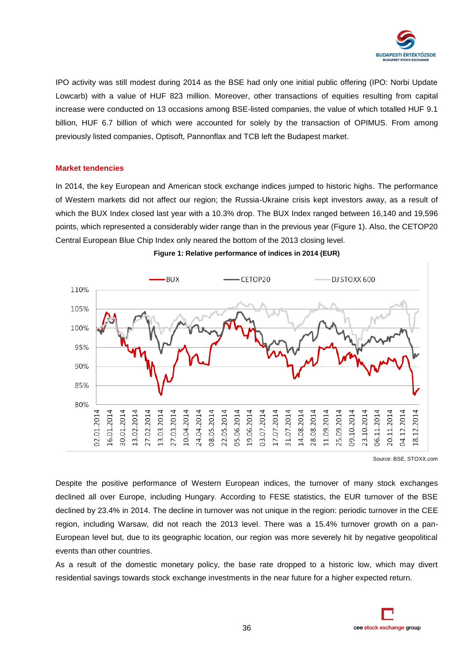

IPO activity was still modest during 2014 as the BSE had only one initial public offering (IPO: Norbi Update Lowcarb) with a value of HUF 823 million. Moreover, other transactions of equities resulting from capital increase were conducted on 13 occasions among BSE-listed companies, the value of which totalled HUF 9.1 billion, HUF 6.7 billion of which were accounted for solely by the transaction of OPIMUS. From among previously listed companies, Optisoft, Pannonflax and TCB left the Budapest market.

### **Market tendencies**

In 2014, the key European and American stock exchange indices jumped to historic highs. The performance of Western markets did not affect our region; the Russia-Ukraine crisis kept investors away, as a result of which the BUX Index closed last year with a 10.3% drop. The BUX Index ranged between 16,140 and 19,596 points, which represented a considerably wider range than in the previous year (Figure 1). Also, the CETOP20 Central European Blue Chip Index only neared the bottom of the 2013 closing level.



**Figure 1: Relative performance of indices in 2014 (EUR)**

Source: BSE, STOXX.com

Despite the positive performance of Western European indices, the turnover of many stock exchanges declined all over Europe, including Hungary. According to FESE statistics, the EUR turnover of the BSE declined by 23.4% in 2014. The decline in turnover was not unique in the region: periodic turnover in the CEE region, including Warsaw, did not reach the 2013 level. There was a 15.4% turnover growth on a pan-European level but, due to its geographic location, our region was more severely hit by negative geopolitical events than other countries.

As a result of the domestic monetary policy, the base rate dropped to a historic low, which may divert residential savings towards stock exchange investments in the near future for a higher expected return.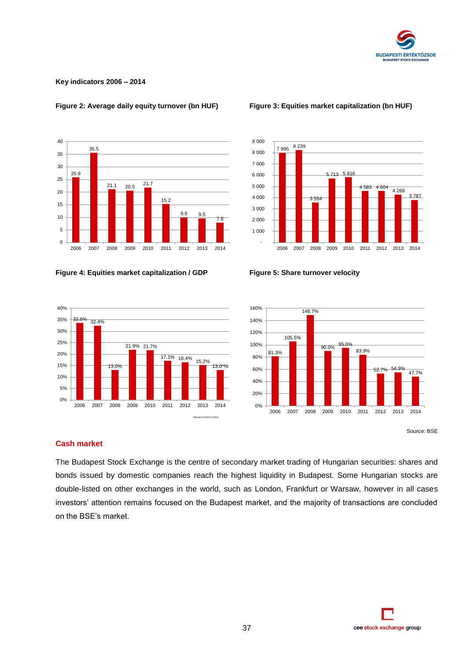

### **Key indicators 2006 – 2014**



### **Figure 2: Average daily equity turnover (bn HUF) Figure 3: Equities market capitalization (bn HUF)**









Source: BSE

### **Cash market**

The Budapest Stock Exchange is the centre of secondary market trading of Hungarian securities: shares and bonds issued by domestic companies reach the highest liquidity in Budapest. Some Hungarian stocks are double-listed on other exchanges in the world, such as London, Frankfurt or Warsaw, however in all cases investors' attention remains focused on the Budapest market, and the majority of transactions are concluded on the BSE's market.

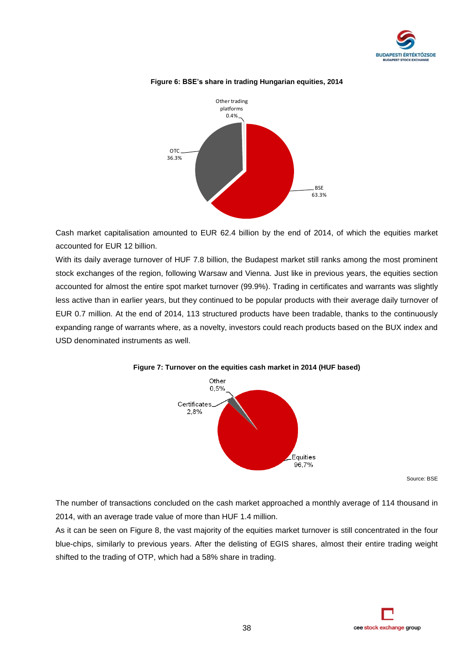



### **Figure 6: BSE's share in trading Hungarian equities, 2014**

Cash market capitalisation amounted to EUR 62.4 billion by the end of 2014, of which the equities market accounted for EUR 12 billion.

With its daily average turnover of HUF 7.8 billion, the Budapest market still ranks among the most prominent stock exchanges of the region, following Warsaw and Vienna. Just like in previous years, the equities section accounted for almost the entire spot market turnover (99.9%). Trading in certificates and warrants was slightly less active than in earlier years, but they continued to be popular products with their average daily turnover of EUR 0.7 million. At the end of 2014, 113 structured products have been tradable, thanks to the continuously expanding range of warrants where, as a novelty, investors could reach products based on the BUX index and USD denominated instruments as well.



### **Figure 7: Turnover on the equities cash market in 2014 (HUF based)**

Source: BSE

The number of transactions concluded on the cash market approached a monthly average of 114 thousand in 2014, with an average trade value of more than HUF 1.4 million.

As it can be seen on Figure 8, the vast majority of the equities market turnover is still concentrated in the four blue-chips, similarly to previous years. After the delisting of EGIS shares, almost their entire trading weight shifted to the trading of OTP, which had a 58% share in trading.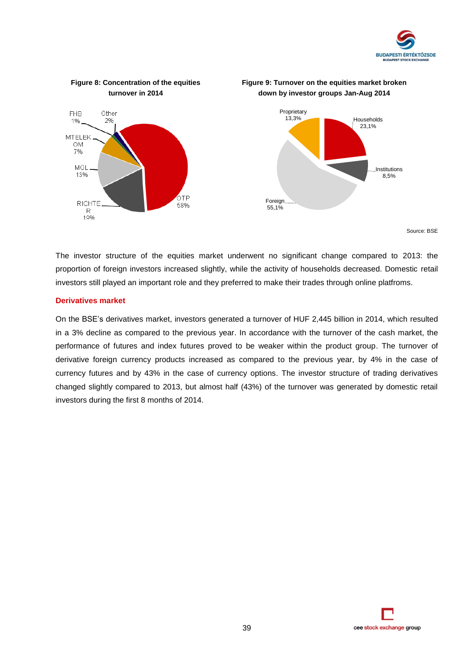



Source: BSE

The investor structure of the equities market underwent no significant change compared to 2013: the proportion of foreign investors increased slightly, while the activity of households decreased. Domestic retail investors still played an important role and they preferred to make their trades through online platfroms.

### **Derivatives market**

On the BSE's derivatives market, investors generated a turnover of HUF 2,445 billion in 2014, which resulted in a 3% decline as compared to the previous year. In accordance with the turnover of the cash market, the performance of futures and index futures proved to be weaker within the product group. The turnover of derivative foreign currency products increased as compared to the previous year, by 4% in the case of currency futures and by 43% in the case of currency options. The investor structure of trading derivatives changed slightly compared to 2013, but almost half (43%) of the turnover was generated by domestic retail investors during the first 8 months of 2014.

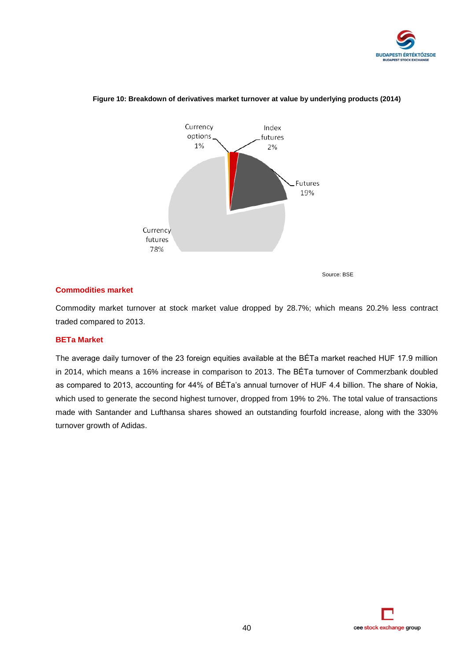



### **Figure 10: Breakdown of derivatives market turnover at value by underlying products (2014)**

Source: BSE

### **Commodities market**

Commodity market turnover at stock market value dropped by 28.7%; which means 20.2% less contract traded compared to 2013.

### **BETa Market**

The average daily turnover of the 23 foreign equities available at the BÉTa market reached HUF 17.9 million in 2014, which means a 16% increase in comparison to 2013. The BÉTa turnover of Commerzbank doubled as compared to 2013, accounting for 44% of BÉTa's annual turnover of HUF 4.4 billion. The share of Nokia, which used to generate the second highest turnover, dropped from 19% to 2%. The total value of transactions made with Santander and Lufthansa shares showed an outstanding fourfold increase, along with the 330% turnover growth of Adidas.

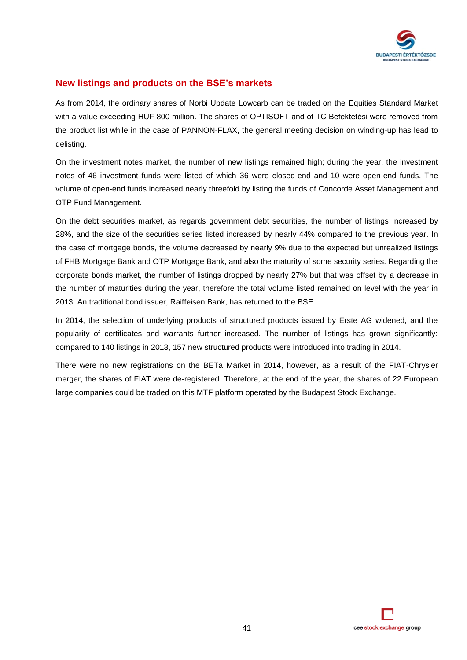

### **New listings and products on the BSE's markets**

As from 2014, the ordinary shares of Norbi Update Lowcarb can be traded on the Equities Standard Market with a value exceeding HUF 800 million. The shares of OPTISOFT and of TC Befektetési were removed from the product list while in the case of PANNON-FLAX, the general meeting decision on winding-up has lead to delisting.

On the investment notes market, the number of new listings remained high; during the year, the investment notes of 46 investment funds were listed of which 36 were closed-end and 10 were open-end funds. The volume of open-end funds increased nearly threefold by listing the funds of Concorde Asset Management and OTP Fund Management.

On the debt securities market, as regards government debt securities, the number of listings increased by 28%, and the size of the securities series listed increased by nearly 44% compared to the previous year. In the case of mortgage bonds, the volume decreased by nearly 9% due to the expected but unrealized listings of FHB Mortgage Bank and OTP Mortgage Bank, and also the maturity of some security series. Regarding the corporate bonds market, the number of listings dropped by nearly 27% but that was offset by a decrease in the number of maturities during the year, therefore the total volume listed remained on level with the year in 2013. An traditional bond issuer, Raiffeisen Bank, has returned to the BSE.

In 2014, the selection of underlying products of structured products issued by Erste AG widened, and the popularity of certificates and warrants further increased. The number of listings has grown significantly: compared to 140 listings in 2013, 157 new structured products were introduced into trading in 2014.

There were no new registrations on the BETa Market in 2014, however, as a result of the FIAT-Chrysler merger, the shares of FIAT were de-registered. Therefore, at the end of the year, the shares of 22 European large companies could be traded on this MTF platform operated by the Budapest Stock Exchange.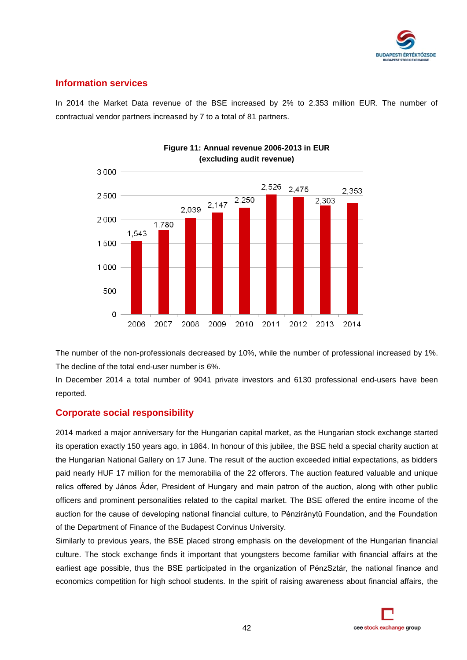

### **Information services**

In 2014 the Market Data revenue of the BSE increased by 2% to 2.353 million EUR. The number of contractual vendor partners increased by 7 to a total of 81 partners.



### **Figure 11: Annual revenue 2006-2013 in EUR (excluding audit revenue)**

The number of the non-professionals decreased by 10%, while the number of professional increased by 1%. The decline of the total end-user number is 6%.

In December 2014 a total number of 9041 private investors and 6130 professional end-users have been reported.

### **Corporate social responsibility**

2014 marked a major anniversary for the Hungarian capital market, as the Hungarian stock exchange started its operation exactly 150 years ago, in 1864. In honour of this jubilee, the BSE held a special charity auction at the Hungarian National Gallery on 17 June. The result of the auction exceeded initial expectations, as bidders paid nearly HUF 17 million for the memorabilia of the 22 offerors. The auction featured valuable and unique relics offered by János Áder, President of Hungary and main patron of the auction, along with other public officers and prominent personalities related to the capital market. The BSE offered the entire income of the auction for the cause of developing national financial culture, to Pénziránytű Foundation, and the Foundation of the Department of Finance of the Budapest Corvinus University.

Similarly to previous years, the BSE placed strong emphasis on the development of the Hungarian financial culture. The stock exchange finds it important that youngsters become familiar with financial affairs at the earliest age possible, thus the BSE participated in the organization of PénzSztár, the national finance and economics competition for high school students. In the spirit of raising awareness about financial affairs, the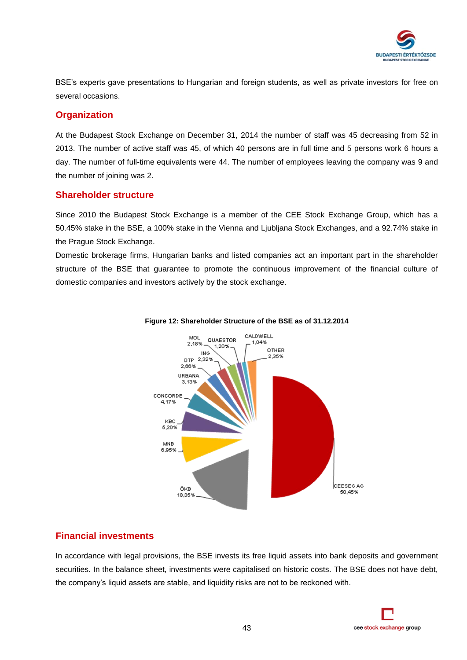

BSE's experts gave presentations to Hungarian and foreign students, as well as private investors for free on several occasions.

### **Organization**

At the Budapest Stock Exchange on December 31, 2014 the number of staff was 45 decreasing from 52 in 2013. The number of active staff was 45, of which 40 persons are in full time and 5 persons work 6 hours a day. The number of full-time equivalents were 44. The number of employees leaving the company was 9 and the number of joining was 2.

### **Shareholder structure**

Since 2010 the Budapest Stock Exchange is a member of the CEE Stock Exchange Group, which has a 50.45% stake in the BSE, a 100% stake in the Vienna and Ljubljana Stock Exchanges, and a 92.74% stake in the Prague Stock Exchange.

Domestic brokerage firms, Hungarian banks and listed companies act an important part in the shareholder structure of the BSE that guarantee to promote the continuous improvement of the financial culture of domestic companies and investors actively by the stock exchange.



### **Figure 12: Shareholder Structure of the BSE as of 31.12.2014**

### **Financial investments**

In accordance with legal provisions, the BSE invests its free liquid assets into bank deposits and government securities. In the balance sheet, investments were capitalised on historic costs. The BSE does not have debt, the company's liquid assets are stable, and liquidity risks are not to be reckoned with.